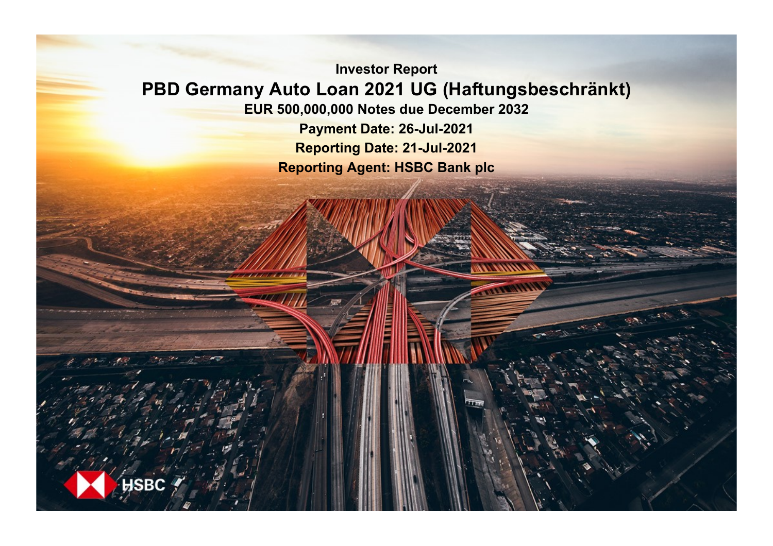**Investor Report PBD Germany Auto Loan 2021 UG (Haftungsbeschränkt)**

**EUR 500,000,000 Notes due December 2032**

**Payment Date: 26-Jul-2021 Reporting Date: 21-Jul-2021 Reporting Agent: HSBC Bank plc**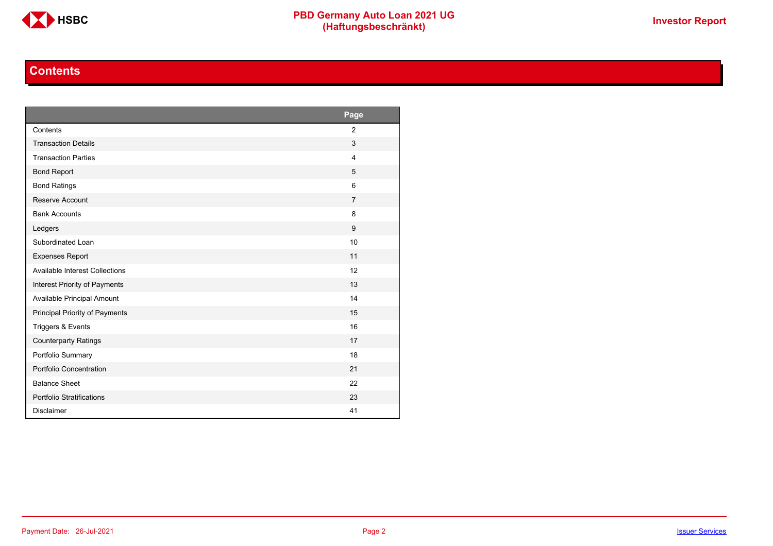

### **Contents**

<span id="page-1-0"></span>

|                                       | Page           |
|---------------------------------------|----------------|
| Contents                              | $\overline{2}$ |
| <b>Transaction Details</b>            | 3              |
| <b>Transaction Parties</b>            | $\overline{4}$ |
| <b>Bond Report</b>                    | 5              |
| <b>Bond Ratings</b>                   | 6              |
| Reserve Account                       | $\overline{7}$ |
| <b>Bank Accounts</b>                  | 8              |
| Ledgers                               | 9              |
| Subordinated Loan                     | 10             |
| <b>Expenses Report</b>                | 11             |
| <b>Available Interest Collections</b> | 12             |
| Interest Priority of Payments         | 13             |
| Available Principal Amount            | 14             |
| Principal Priority of Payments        | 15             |
| Triggers & Events                     | 16             |
| <b>Counterparty Ratings</b>           | 17             |
| Portfolio Summary                     | 18             |
| Portfolio Concentration               | 21             |
| <b>Balance Sheet</b>                  | 22             |
| Portfolio Stratifications             | 23             |
| <b>Disclaimer</b>                     | 41             |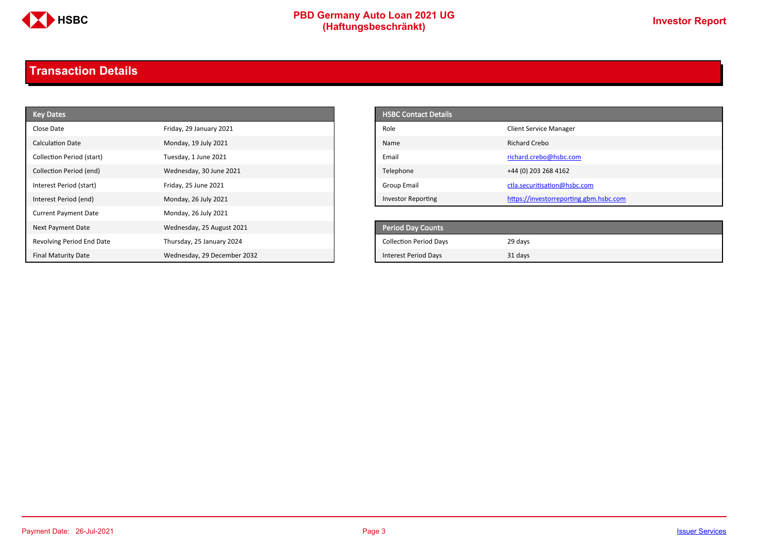

# **PBD Germany Auto Loan 2021 UG**<br>
(Haftungsbeschränkt)<br>
This area of the CHSD CHA (Haftungsbeschränkt)

## <span id="page-2-0"></span>**Transaction Details**

| <b>Key Dates</b>            |                             | <b>HSBC Contact Details</b>   |                                        |
|-----------------------------|-----------------------------|-------------------------------|----------------------------------------|
| Close Date                  | Friday, 29 January 2021     | Role                          | <b>Client Service Manager</b>          |
| <b>Calculation Date</b>     | Monday, 19 July 2021        | Name                          | <b>Richard Crebo</b>                   |
| Collection Period (start)   | Tuesday, 1 June 2021        | Email                         | richard.crebo@hsbc.com                 |
| Collection Period (end)     | Wednesday, 30 June 2021     | Telephone                     | +44 (0) 203 268 4162                   |
| Interest Period (start)     | Friday, 25 June 2021        | <b>Group Email</b>            | ctla.securitisation@hsbc.com           |
| Interest Period (end)       | Monday, 26 July 2021        | <b>Investor Reporting</b>     | https://investorreporting.gbm.hsbc.com |
| <b>Current Payment Date</b> | Monday, 26 July 2021        |                               |                                        |
| Next Payment Date           | Wednesday, 25 August 2021   | <b>Period Day Counts</b>      |                                        |
| Revolving Period End Date   | Thursday, 25 January 2024   | <b>Collection Period Days</b> | 29 days                                |
| <b>Final Maturity Date</b>  | Wednesday, 29 December 2032 | <b>Interest Period Days</b>   | 31 days                                |

| <b>HSBC Contact Details</b> |                                        |
|-----------------------------|----------------------------------------|
| Role                        | <b>Client Service Manager</b>          |
| Name                        | Richard Crebo                          |
| Email                       | richard.crebo@hsbc.com                 |
| Telephone                   | +44 (0) 203 268 4162                   |
| Group Email                 | ctla.securitisation@hsbc.com           |
| <b>Investor Reporting</b>   | https://investorreporting.gbm.hsbc.com |

| <b>Period Day Counts</b>      |         |
|-------------------------------|---------|
| <b>Collection Period Days</b> | 29 days |
| <b>Interest Period Days</b>   | 31 days |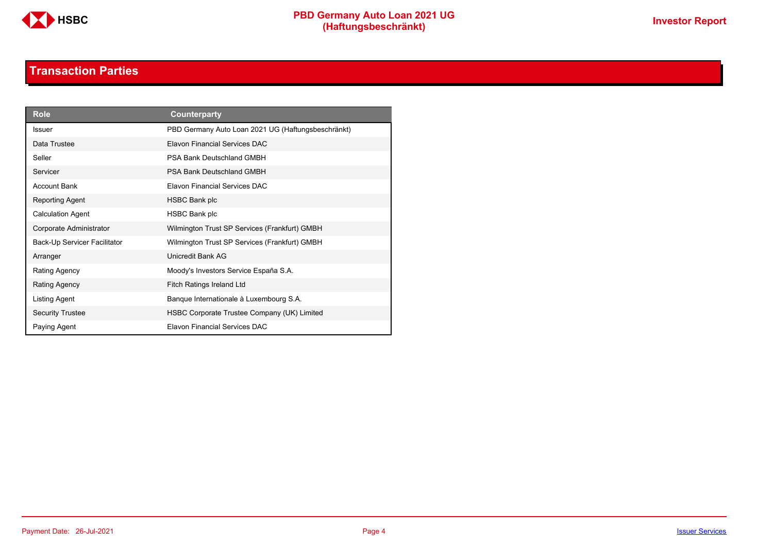

### **Transaction Parties**

<span id="page-3-0"></span>

| <b>Role</b>                  | Counterparty                                       |
|------------------------------|----------------------------------------------------|
| <b>Issuer</b>                | PBD Germany Auto Loan 2021 UG (Haftungsbeschränkt) |
| Data Trustee                 | Elavon Financial Services DAC                      |
| Seller                       | PSA Bank Deutschland GMBH                          |
| Servicer                     | <b>PSA Bank Deutschland GMBH</b>                   |
| <b>Account Bank</b>          | <b>Flavon Financial Services DAC</b>               |
| Reporting Agent              | HSBC Bank plc                                      |
| <b>Calculation Agent</b>     | HSBC Bank plc                                      |
| Corporate Administrator      | Wilmington Trust SP Services (Frankfurt) GMBH      |
| Back-Up Servicer Facilitator | Wilmington Trust SP Services (Frankfurt) GMBH      |
| Arranger                     | Unicredit Bank AG                                  |
| Rating Agency                | Moody's Investors Service España S.A.              |
| Rating Agency                | <b>Fitch Ratings Ireland Ltd</b>                   |
| Listing Agent                | Banque Internationale à Luxembourg S.A.            |
| <b>Security Trustee</b>      | HSBC Corporate Trustee Company (UK) Limited        |
| Paying Agent                 | <b>Flavon Financial Services DAC</b>               |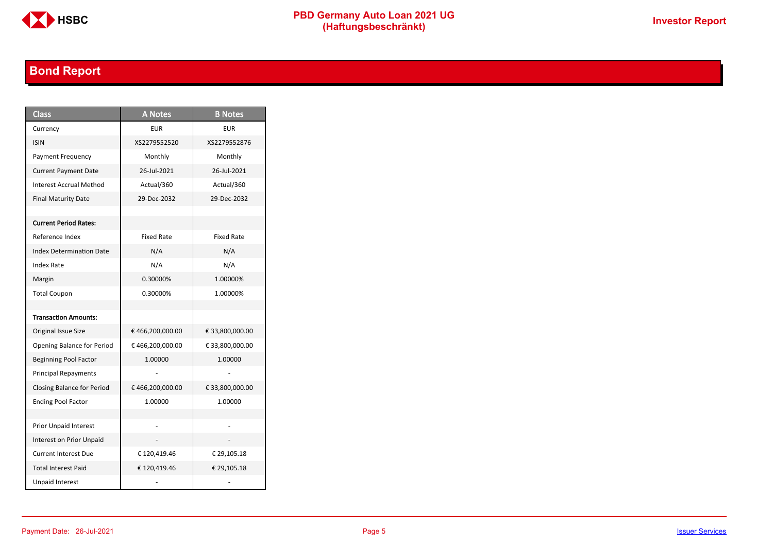

# **PBD Germany Auto Loan 2021 UG**<br>
(Haftungsbeschränkt)<br>
This area of the CHSD CHA (Haftungsbeschränkt)

## <span id="page-4-0"></span>**Bond Report**

| <b>Class</b>                    | <b>A</b> Notes    | <b>B</b> Notes    |
|---------------------------------|-------------------|-------------------|
| Currency                        | <b>EUR</b>        | <b>EUR</b>        |
| <b>ISIN</b>                     | XS2279552520      | XS2279552876      |
| <b>Payment Frequency</b>        | Monthly           | Monthly           |
| <b>Current Payment Date</b>     | 26-Jul-2021       | 26-Jul-2021       |
| <b>Interest Accrual Method</b>  | Actual/360        | Actual/360        |
| <b>Final Maturity Date</b>      | 29-Dec-2032       | 29-Dec-2032       |
|                                 |                   |                   |
| <b>Current Period Rates:</b>    |                   |                   |
| Reference Index                 | <b>Fixed Rate</b> | <b>Fixed Rate</b> |
| <b>Index Determination Date</b> | N/A               | N/A               |
| <b>Index Rate</b>               | N/A               | N/A               |
| Margin                          | 0.30000%          | 1.00000%          |
| <b>Total Coupon</b>             | 0.30000%          | 1.00000%          |
|                                 |                   |                   |
| <b>Transaction Amounts:</b>     |                   |                   |
| Original Issue Size             | €466,200,000.00   | € 33,800,000.00   |
| Opening Balance for Period      | €466,200,000.00   | € 33,800,000.00   |
| <b>Beginning Pool Factor</b>    | 1.00000           | 1.00000           |
| <b>Principal Repayments</b>     |                   |                   |
| Closing Balance for Period      | €466,200,000.00   | € 33,800,000.00   |
| <b>Ending Pool Factor</b>       | 1.00000           | 1.00000           |
|                                 |                   |                   |
| <b>Prior Unpaid Interest</b>    |                   |                   |
| Interest on Prior Unpaid        |                   |                   |
| <b>Current Interest Due</b>     | € 120,419.46      | € 29,105.18       |
| <b>Total Interest Paid</b>      | €120,419.46       | € 29,105.18       |
| <b>Unpaid Interest</b>          |                   |                   |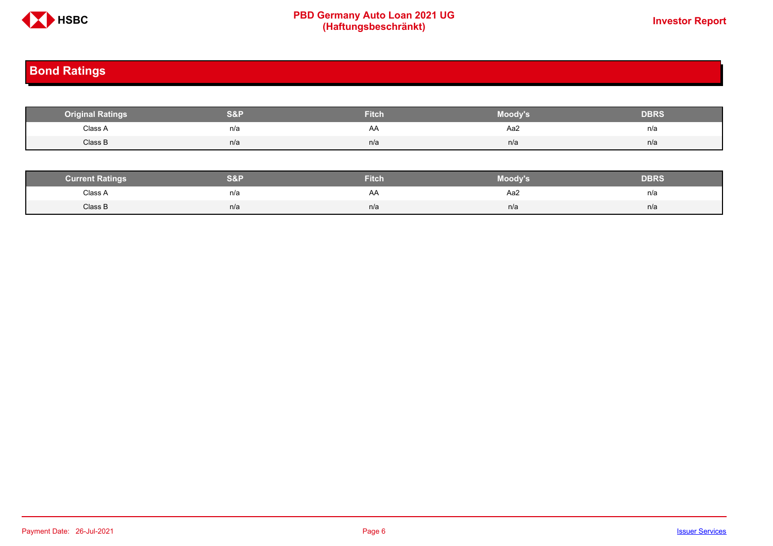

# **PBD Germany Auto Loan 2021 UG**<br>
(Haftungsbeschränkt)<br>
This area of the CHSD CHA (Haftungsbeschränkt)

## <span id="page-5-0"></span>**Bond Ratings**

| <b>Original Ratings</b> | S&P | <b>Fitch</b> | Moody's | <b>DBRS</b> |
|-------------------------|-----|--------------|---------|-------------|
| Class A                 | n/a | AA           | Aa2     | n/a         |
| Class B                 | n/a | n/a          | n/a     | n/a         |

| <b><i>Surrent Ratings</i></b> | 0.91<br>>I≏∃i | <b>Fitch</b> | Moody's | DERS. |
|-------------------------------|---------------|--------------|---------|-------|
| Class A<br>.                  | n/a           | A۴           | Aa2     | n/a   |
| Class B                       | n/a           | n/a          | n/a     | n/a   |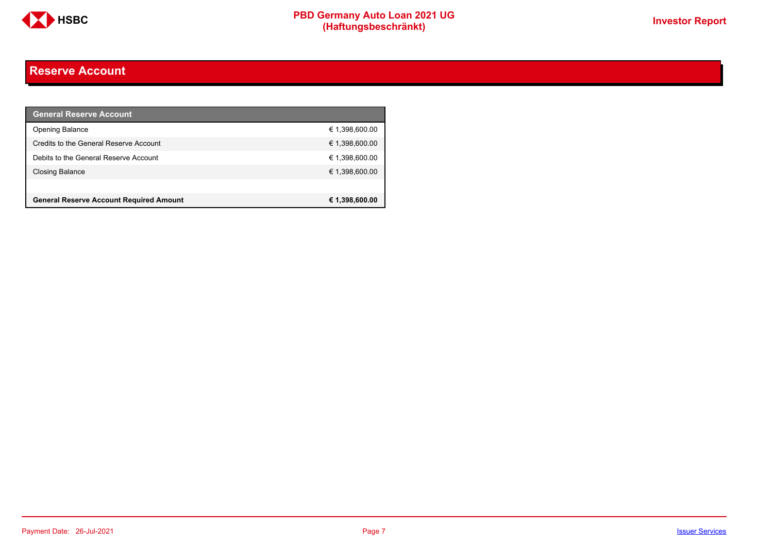

### <span id="page-6-0"></span>**Reserve Account**

| <b>General Reserve Account</b>                 |                |
|------------------------------------------------|----------------|
| <b>Opening Balance</b>                         | € 1,398,600.00 |
| Credits to the General Reserve Account         | € 1,398,600.00 |
| Debits to the General Reserve Account          | € 1,398,600.00 |
| <b>Closing Balance</b>                         | € 1,398,600.00 |
|                                                |                |
| <b>General Reserve Account Required Amount</b> | € 1,398,600.00 |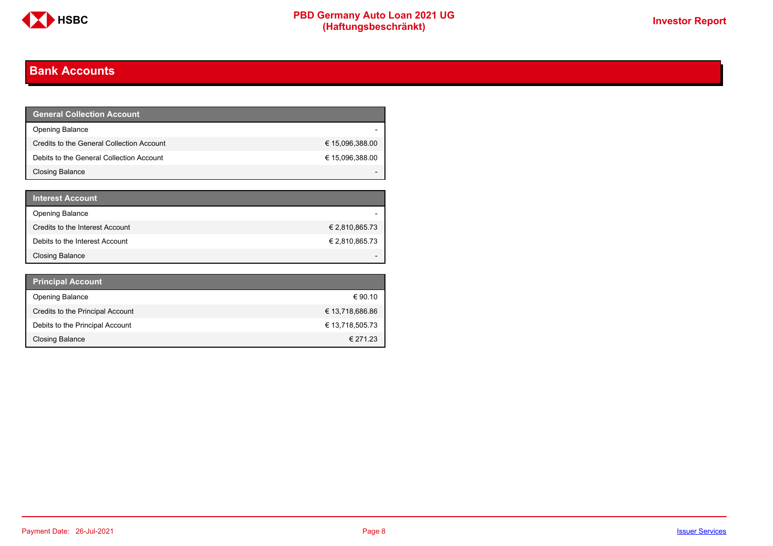

## <span id="page-7-0"></span>**Bank Accounts**

| <b>General Collection Account</b>         |                 |
|-------------------------------------------|-----------------|
| <b>Opening Balance</b>                    |                 |
| Credits to the General Collection Account | € 15,096,388.00 |
| Debits to the General Collection Account  | € 15,096,388.00 |
| Closing Balance                           |                 |

| <b>Interest Account</b>         |                |
|---------------------------------|----------------|
| <b>Opening Balance</b>          |                |
| Credits to the Interest Account | € 2,810,865.73 |
| Debits to the Interest Account  | € 2,810,865.73 |
| <b>Closing Balance</b>          |                |

| <b>Principal Account</b>         |                 |
|----------------------------------|-----------------|
| <b>Opening Balance</b>           | € 90.10         |
| Credits to the Principal Account | € 13,718,686.86 |
| Debits to the Principal Account  | € 13,718,505.73 |
| <b>Closing Balance</b>           | € 271.23        |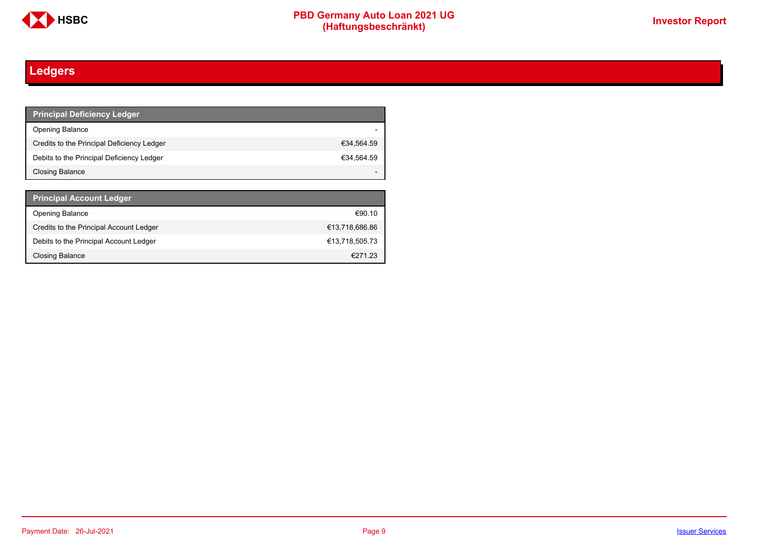

# <span id="page-8-0"></span>**Ledgers**

| <b>Principal Deficiency Ledger</b>         |            |
|--------------------------------------------|------------|
| <b>Opening Balance</b>                     |            |
| Credits to the Principal Deficiency Ledger | €34,564.59 |
| Debits to the Principal Deficiency Ledger  | €34,564.59 |
| Closing Balance                            |            |

| <b>Principal Account Ledger</b>         |                |
|-----------------------------------------|----------------|
| <b>Opening Balance</b>                  | €90.10         |
| Credits to the Principal Account Ledger | €13,718,686.86 |
| Debits to the Principal Account Ledger  | €13.718.505.73 |
| <b>Closing Balance</b>                  | €27123         |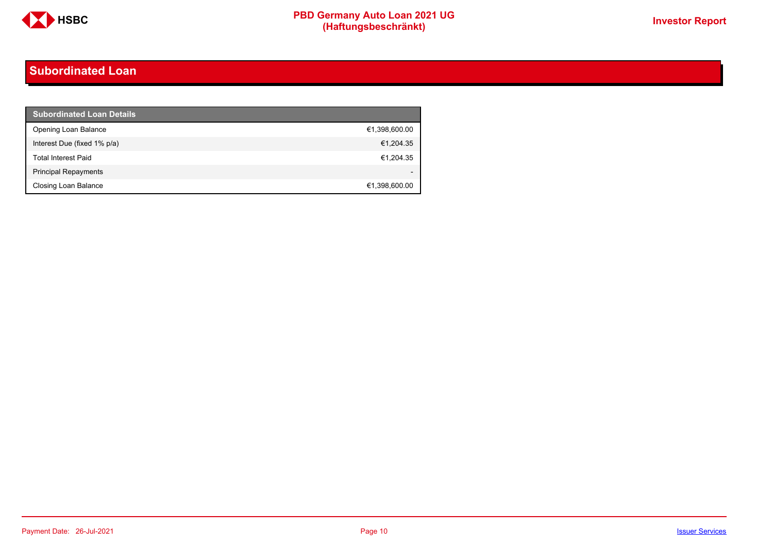

### <span id="page-9-0"></span>**Subordinated Loan**

| <b>Subordinated Loan Details</b> |               |
|----------------------------------|---------------|
| Opening Loan Balance             | €1,398,600.00 |
| Interest Due (fixed 1% p/a)      | €1,204.35     |
| <b>Total Interest Paid</b>       | €1,204.35     |
| <b>Principal Repayments</b>      |               |
| Closing Loan Balance             | €1,398,600.00 |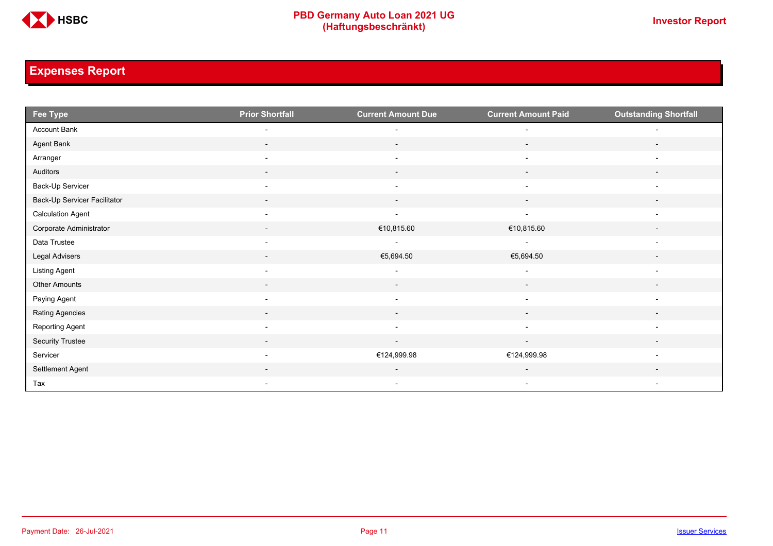

## <span id="page-10-0"></span>**Expenses Report**

| Fee Type                     | <b>Prior Shortfall</b>   | <b>Current Amount Due</b> | <b>Current Amount Paid</b> | <b>Outstanding Shortfall</b> |
|------------------------------|--------------------------|---------------------------|----------------------------|------------------------------|
| Account Bank                 | $\overline{\phantom{0}}$ |                           | $\overline{\phantom{0}}$   |                              |
| Agent Bank                   | $\overline{\phantom{a}}$ | $\overline{\phantom{0}}$  | $\overline{\phantom{a}}$   | $\overline{\phantom{a}}$     |
| Arranger                     | $\overline{\phantom{a}}$ | $\overline{\phantom{a}}$  | $\overline{\phantom{a}}$   |                              |
| Auditors                     | $\overline{\phantom{a}}$ | $\overline{\phantom{a}}$  | $\overline{\phantom{a}}$   |                              |
| Back-Up Servicer             | $\overline{\phantom{a}}$ | $\overline{a}$            | $\overline{\phantom{0}}$   | $\overline{\phantom{0}}$     |
| Back-Up Servicer Facilitator |                          | $\overline{\phantom{a}}$  | $\overline{\phantom{a}}$   |                              |
| <b>Calculation Agent</b>     | $\overline{\phantom{a}}$ | $\overline{\phantom{a}}$  | $\overline{\phantom{a}}$   | $\overline{\phantom{a}}$     |
| Corporate Administrator      | $\overline{\phantom{a}}$ | €10,815.60                | €10,815.60                 | $\overline{\phantom{a}}$     |
| Data Trustee                 | $\overline{\phantom{a}}$ | $\overline{\phantom{a}}$  | $\overline{\phantom{a}}$   | $\overline{\phantom{a}}$     |
| Legal Advisers               | $\overline{\phantom{a}}$ | €5,694.50                 | €5,694.50                  | $\overline{\phantom{a}}$     |
| <b>Listing Agent</b>         | $\overline{\phantom{a}}$ | $\overline{\phantom{a}}$  | $\overline{\phantom{a}}$   | $\overline{\phantom{0}}$     |
| Other Amounts                |                          |                           |                            |                              |
| Paying Agent                 | $\overline{\phantom{a}}$ | $\overline{\phantom{a}}$  | $\overline{\phantom{a}}$   | $\overline{\phantom{a}}$     |
| Rating Agencies              | $\overline{\phantom{a}}$ | $\sim$                    | $\sim$                     | $\overline{\phantom{a}}$     |
| Reporting Agent              | $\overline{\phantom{a}}$ | $\overline{\phantom{a}}$  | $\overline{\phantom{a}}$   | $\overline{\phantom{a}}$     |
| Security Trustee             | $\sim$                   | $\sim$                    | $\sim$                     | $\overline{\phantom{a}}$     |
| Servicer                     |                          | €124,999.98               | €124,999.98                |                              |
| Settlement Agent             |                          | $\overline{\phantom{a}}$  | $\overline{\phantom{a}}$   |                              |
| Tax                          | $\overline{\phantom{a}}$ | $\overline{\phantom{a}}$  | $\overline{\phantom{a}}$   | $\overline{\phantom{a}}$     |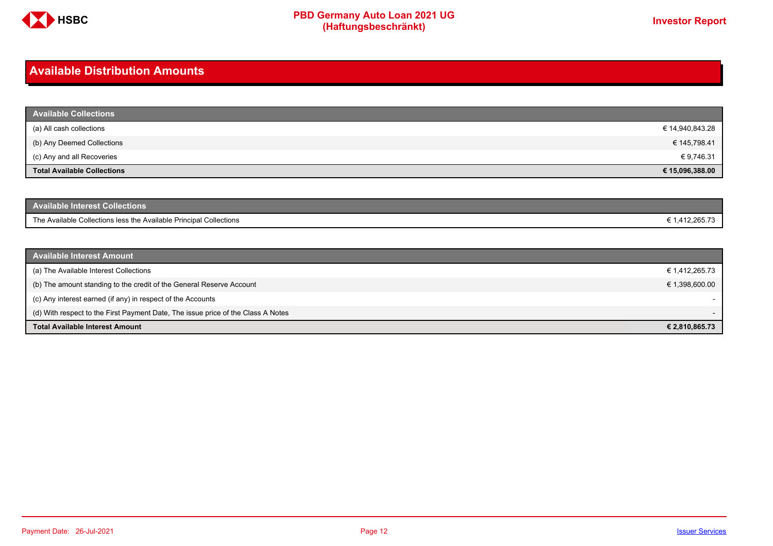

### <span id="page-11-0"></span>**Available Distribution Amounts**

| <b>Available Collections</b>       |                 |
|------------------------------------|-----------------|
| (a) All cash collections           | € 14,940,843.28 |
| (b) Any Deemed Collections         | € 145,798.41    |
| (c) Any and all Recoveries         | € 9,746.31      |
| <b>Total Available Collections</b> | € 15,096,388.00 |

| Available Interest Collections <b>\</b>                            |              |
|--------------------------------------------------------------------|--------------|
| The Available Collections less the Available Principal Collections | 1.412.265.73 |

| <b>Available Interest Amount</b>                                                 |                |
|----------------------------------------------------------------------------------|----------------|
| (a) The Available Interest Collections                                           | € 1,412,265.73 |
| (b) The amount standing to the credit of the General Reserve Account             | € 1,398,600.00 |
| (c) Any interest earned (if any) in respect of the Accounts                      |                |
| (d) With respect to the First Payment Date, The issue price of the Class A Notes |                |
| <b>Total Available Interest Amount</b>                                           | € 2,810,865.73 |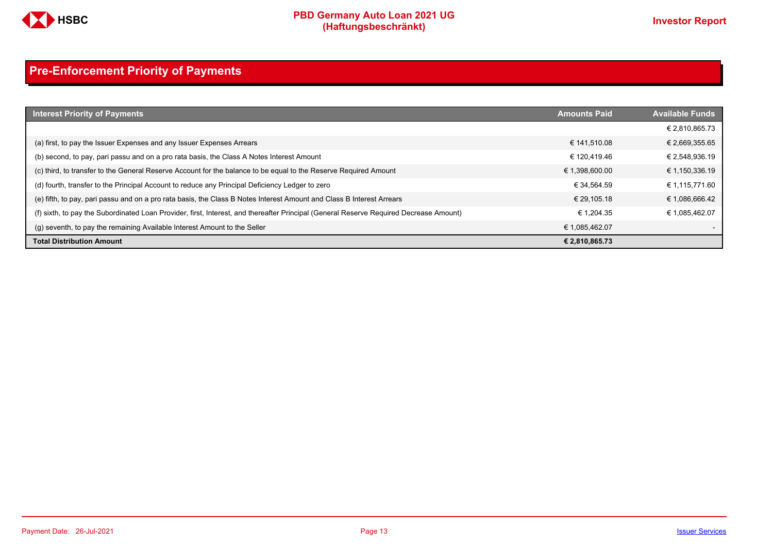

## <span id="page-12-0"></span>**Pre-Enforcement Priority of Payments**

| <b>Interest Priority of Payments</b>                                                                                                   | <b>Amounts Paid</b> | <b>Available Funds</b> |
|----------------------------------------------------------------------------------------------------------------------------------------|---------------------|------------------------|
|                                                                                                                                        |                     | € 2,810,865.73         |
| (a) first, to pay the Issuer Expenses and any Issuer Expenses Arrears                                                                  | € 141.510.08        | € 2,669,355.65         |
| (b) second, to pay, pari passu and on a pro rata basis, the Class A Notes Interest Amount                                              | € 120.419.46        | € 2,548,936.19         |
| (c) third, to transfer to the General Reserve Account for the balance to be equal to the Reserve Required Amount                       | € 1,398,600.00      | € 1,150,336.19         |
| (d) fourth, transfer to the Principal Account to reduce any Principal Deficiency Ledger to zero                                        | € 34.564.59         | € 1,115,771.60         |
| (e) fifth, to pay, pari passu and on a pro rata basis, the Class B Notes Interest Amount and Class B Interest Arrears                  | € 29.105.18         | € 1,086,666.42         |
| (f) sixth, to pay the Subordinated Loan Provider, first, Interest, and thereafter Principal (General Reserve Required Decrease Amount) | € 1.204.35          | € 1.085.462.07         |
| (g) seventh, to pay the remaining Available Interest Amount to the Seller                                                              | € 1,085,462.07      |                        |
| <b>Total Distribution Amount</b>                                                                                                       | € 2,810,865.73      |                        |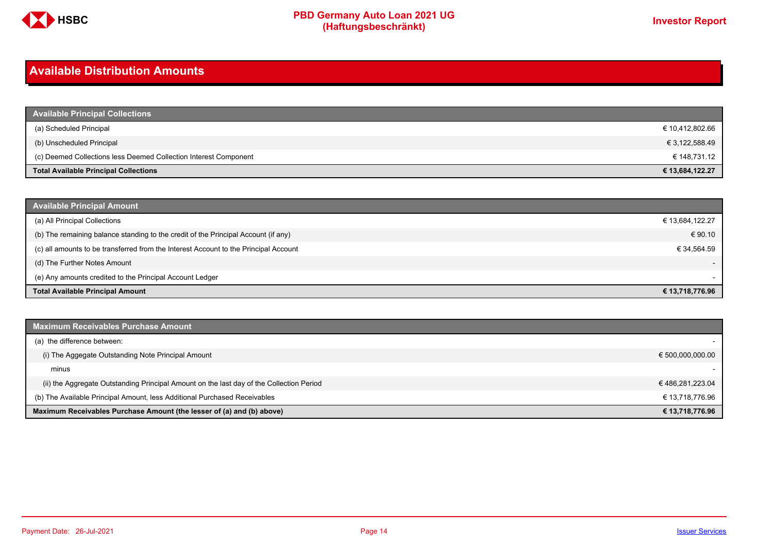

### <span id="page-13-0"></span>**Available Distribution Amounts**

| <b>Available Principal Collections</b>                           |                 |
|------------------------------------------------------------------|-----------------|
| (a) Scheduled Principal                                          | € 10,412,802.66 |
| (b) Unscheduled Principal                                        | € 3,122,588.49  |
| (c) Deemed Collections less Deemed Collection Interest Component | € 148,731.12    |
| <b>Total Available Principal Collections</b>                     | € 13,684,122.27 |

| <b>Available Principal Amount</b>                                                    |                          |
|--------------------------------------------------------------------------------------|--------------------------|
| (a) All Principal Collections                                                        | € 13,684,122.27          |
| (b) The remaining balance standing to the credit of the Principal Account (if any)   | € 90.10                  |
| (c) all amounts to be transferred from the Interest Account to the Principal Account | € 34,564.59              |
| (d) The Further Notes Amount                                                         | $\overline{\phantom{a}}$ |
| (e) Any amounts credited to the Principal Account Ledger                             |                          |
| <b>Total Available Principal Amount</b>                                              | € 13,718,776.96          |

| <b>Maximum Receivables Purchase Amount</b>                                               |                  |
|------------------------------------------------------------------------------------------|------------------|
| (a) the difference between:                                                              |                  |
| (i) The Aggegate Outstanding Note Principal Amount                                       | € 500,000,000.00 |
| minus                                                                                    |                  |
| (ii) the Aggregate Outstanding Principal Amount on the last day of the Collection Period | €486,281,223.04  |
| (b) The Available Principal Amount, less Additional Purchased Receivables                | € 13,718,776.96  |
| Maximum Receivables Purchase Amount (the lesser of (a) and (b) above)                    | € 13,718,776.96  |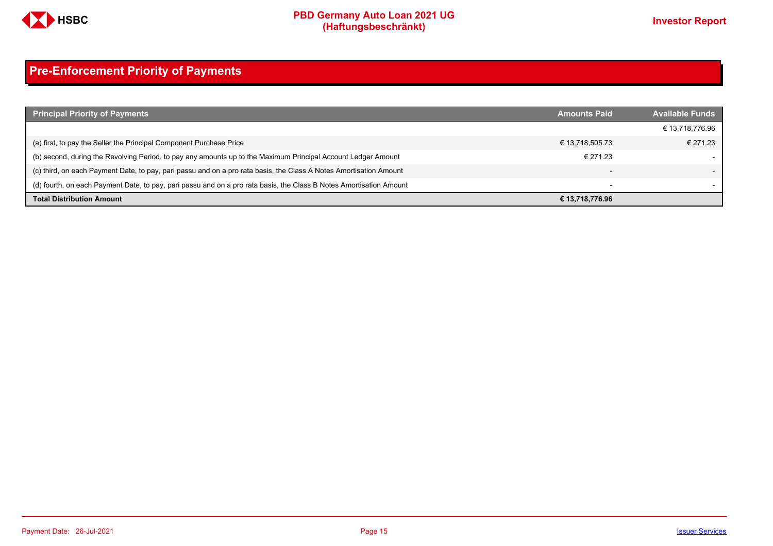

## <span id="page-14-0"></span>**Pre-Enforcement Priority of Payments**

| <b>Principal Priority of Payments</b>                                                                               | <b>Amounts Paid</b>      | <b>Available Funds</b> |
|---------------------------------------------------------------------------------------------------------------------|--------------------------|------------------------|
|                                                                                                                     |                          | € 13,718,776.96        |
| (a) first, to pay the Seller the Principal Component Purchase Price                                                 | € 13,718,505.73          | € 271.23               |
| (b) second, during the Revolving Period, to pay any amounts up to the Maximum Principal Account Ledger Amount       | € 271.23                 |                        |
| (c) third, on each Payment Date, to pay, pari passu and on a pro rata basis, the Class A Notes Amortisation Amount  |                          |                        |
| (d) fourth, on each Payment Date, to pay, pari passu and on a pro rata basis, the Class B Notes Amortisation Amount | $\overline{\phantom{0}}$ |                        |
| <b>Total Distribution Amount</b>                                                                                    | € 13,718,776.96          |                        |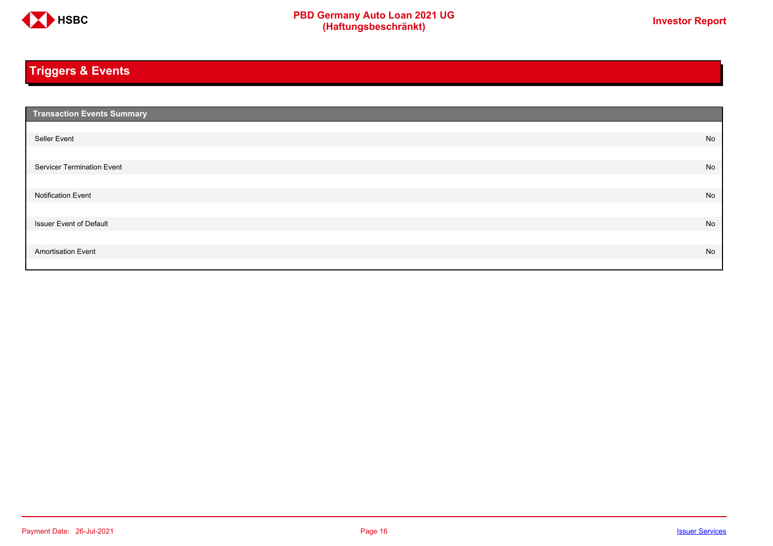

## <span id="page-15-0"></span>**Triggers & Events**

| <b>Transaction Events Summary</b> |    |
|-----------------------------------|----|
|                                   |    |
| Seller Event                      | No |
|                                   |    |
| Servicer Termination Event        | No |
|                                   |    |
| <b>Notification Event</b>         | No |
|                                   |    |
| <b>Issuer Event of Default</b>    | No |
|                                   |    |
| <b>Amortisation Event</b>         | No |
|                                   |    |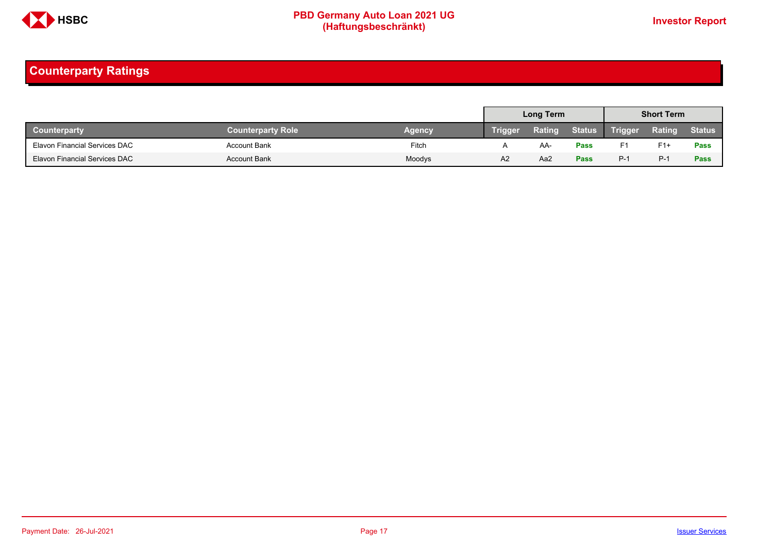

## <span id="page-16-0"></span>**Counterparty Ratings**

|                                      |                          |               |                | Long Term |               |                | <b>Short Term</b> |               |
|--------------------------------------|--------------------------|---------------|----------------|-----------|---------------|----------------|-------------------|---------------|
| <b>Counterparty</b>                  | <b>Counterparty Role</b> | <b>Agency</b> | <b>Trigger</b> | Rating    | <b>Status</b> | <b>Trigger</b> | Rating            | <b>Status</b> |
| Elavon Financial Services DAC        | <b>Account Bank</b>      | Fitch         |                | AA.       | <b>Pass</b>   | F1             | $F1+$             | Pass          |
| <b>Elavon Financial Services DAC</b> | <b>Account Bank</b>      | Moodys        | A <sub>2</sub> | Aa2       | Pass          | $P-1$          | $P-1$             | Pass          |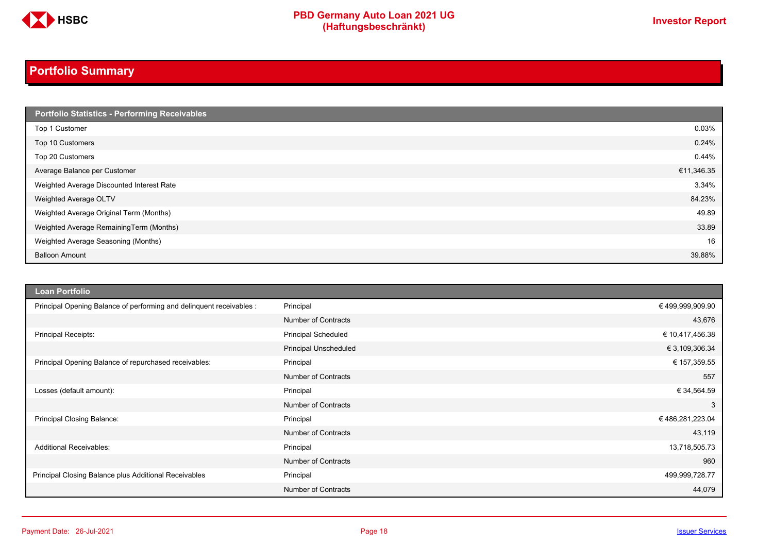

# **PBD Germany Auto Loan 2021 UG**<br>
(Haftungsbeschränkt)<br>
This area of the CHSD CHA (Haftungsbeschränkt)

## <span id="page-17-0"></span>**Portfolio Summary**

| Portfolio Statistics - Performing Receivables |            |
|-----------------------------------------------|------------|
| Top 1 Customer                                | 0.03%      |
| Top 10 Customers                              | 0.24%      |
| Top 20 Customers                              | 0.44%      |
| Average Balance per Customer                  | €11,346.35 |
| Weighted Average Discounted Interest Rate     | 3.34%      |
| Weighted Average OLTV                         | 84.23%     |
| Weighted Average Original Term (Months)       | 49.89      |
| Weighted Average RemainingTerm (Months)       | 33.89      |
| Weighted Average Seasoning (Months)           | 16         |
| <b>Balloon Amount</b>                         | 39.88%     |

| <b>Loan Portfolio</b>                                                |                              |                  |
|----------------------------------------------------------------------|------------------------------|------------------|
| Principal Opening Balance of performing and delinquent receivables : | Principal                    | € 499,999,909.90 |
|                                                                      | <b>Number of Contracts</b>   | 43,676           |
| Principal Receipts:                                                  | <b>Principal Scheduled</b>   | € 10,417,456.38  |
|                                                                      | <b>Principal Unscheduled</b> | € 3,109,306.34   |
| Principal Opening Balance of repurchased receivables:                | Principal                    | € 157,359.55     |
|                                                                      | <b>Number of Contracts</b>   | 557              |
| Losses (default amount):                                             | Principal                    | € 34,564.59      |
|                                                                      | <b>Number of Contracts</b>   | 3                |
| Principal Closing Balance:                                           | Principal                    | € 486,281,223.04 |
|                                                                      | <b>Number of Contracts</b>   | 43,119           |
| <b>Additional Receivables:</b>                                       | Principal                    | 13,718,505.73    |
|                                                                      | <b>Number of Contracts</b>   | 960              |
| Principal Closing Balance plus Additional Receivables                | Principal                    | 499,999,728.77   |
|                                                                      | <b>Number of Contracts</b>   | 44,079           |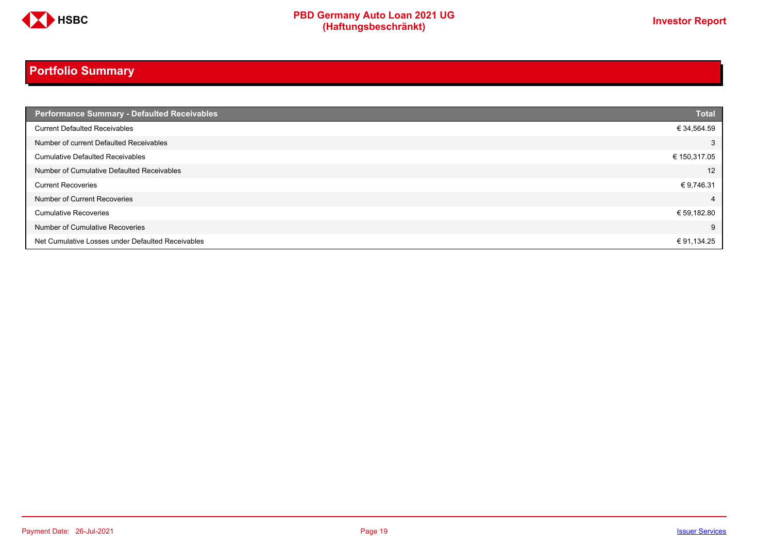

## **Portfolio Summary**

| <b>Performance Summary - Defaulted Receivables</b> | <b>Total</b> |
|----------------------------------------------------|--------------|
| <b>Current Defaulted Receivables</b>               | € 34,564.59  |
| Number of current Defaulted Receivables            | 3            |
| <b>Cumulative Defaulted Receivables</b>            | € 150,317.05 |
| Number of Cumulative Defaulted Receivables         | 12           |
| <b>Current Recoveries</b>                          | € 9,746.31   |
| Number of Current Recoveries                       | 4            |
| <b>Cumulative Recoveries</b>                       | € 59,182.80  |
| Number of Cumulative Recoveries                    | 9            |
| Net Cumulative Losses under Defaulted Receivables  | € 91,134.25  |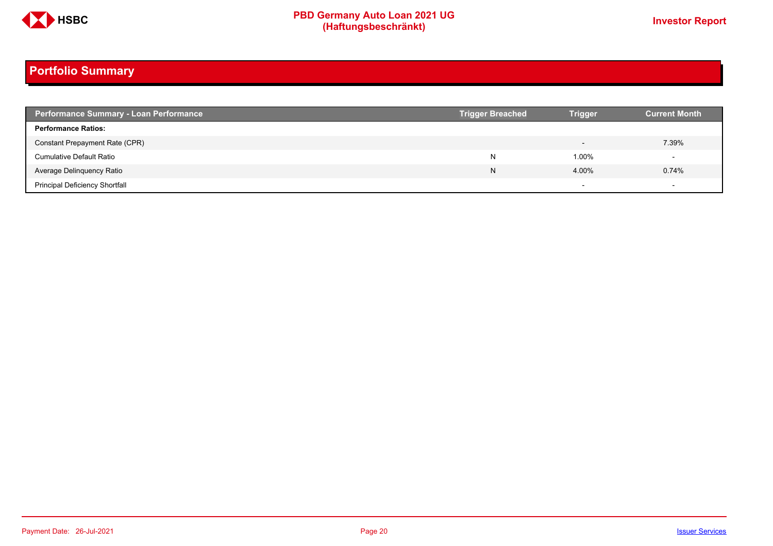

# **PBD Germany Auto Loan 2021 UG**<br>
(Haftungsbeschränkt)<br>
This area of the CHSD CHA (Haftungsbeschränkt)

## **Portfolio Summary**

| <b>Performance Summary - Loan Performance</b> | <b>Trigger Breached</b> | <b>Trigger</b>           | <b>Current Month</b>     |
|-----------------------------------------------|-------------------------|--------------------------|--------------------------|
| <b>Performance Ratios:</b>                    |                         |                          |                          |
| Constant Prepayment Rate (CPR)                |                         |                          | 7.39%                    |
| <b>Cumulative Default Ratio</b>               | N                       | 1.00%                    |                          |
| Average Delinquency Ratio                     | N                       | 4.00%                    | 0.74%                    |
| <b>Principal Deficiency Shortfall</b>         |                         | $\overline{\phantom{0}}$ | $\overline{\phantom{a}}$ |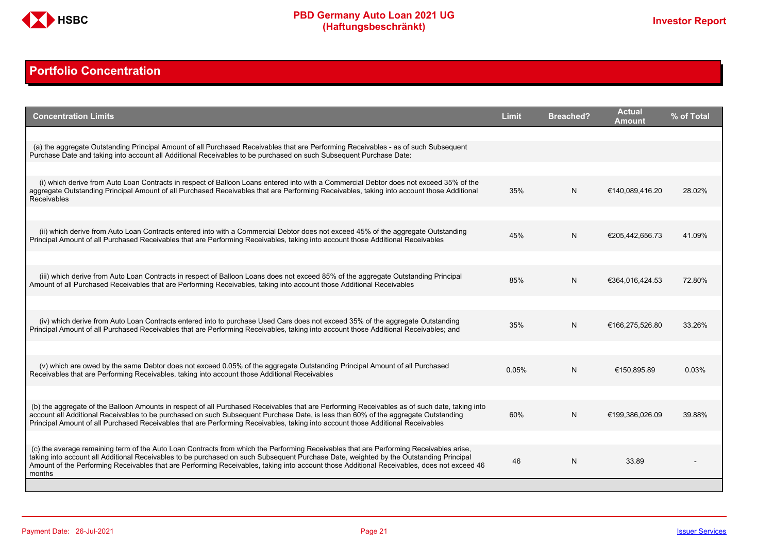

## <span id="page-20-0"></span>**Portfolio Concentration**

| <b>Concentration Limits</b>                                                                                                                                                                                                                                                                                                                                                                                                              | <b>Limit</b> | <b>Breached?</b> | <b>Actual</b><br>Amount | % of Total |
|------------------------------------------------------------------------------------------------------------------------------------------------------------------------------------------------------------------------------------------------------------------------------------------------------------------------------------------------------------------------------------------------------------------------------------------|--------------|------------------|-------------------------|------------|
|                                                                                                                                                                                                                                                                                                                                                                                                                                          |              |                  |                         |            |
| (a) the aggregate Outstanding Principal Amount of all Purchased Receivables that are Performing Receivables - as of such Subsequent<br>Purchase Date and taking into account all Additional Receivables to be purchased on such Subsequent Purchase Date:                                                                                                                                                                                |              |                  |                         |            |
|                                                                                                                                                                                                                                                                                                                                                                                                                                          |              |                  |                         |            |
| (i) which derive from Auto Loan Contracts in respect of Balloon Loans entered into with a Commercial Debtor does not exceed 35% of the<br>aggregate Outstanding Principal Amount of all Purchased Receivables that are Performing Receivables, taking into account those Additional<br>Receivables                                                                                                                                       | 35%          | N                | €140,089,416.20         | 28.02%     |
|                                                                                                                                                                                                                                                                                                                                                                                                                                          |              |                  |                         |            |
| (ii) which derive from Auto Loan Contracts entered into with a Commercial Debtor does not exceed 45% of the aggregate Outstanding<br>Principal Amount of all Purchased Receivables that are Performing Receivables, taking into account those Additional Receivables                                                                                                                                                                     | 45%          | N                | €205,442,656.73         | 41.09%     |
|                                                                                                                                                                                                                                                                                                                                                                                                                                          |              |                  |                         |            |
| (iii) which derive from Auto Loan Contracts in respect of Balloon Loans does not exceed 85% of the aggregate Outstanding Principal<br>Amount of all Purchased Receivables that are Performing Receivables, taking into account those Additional Receivables                                                                                                                                                                              | 85%          | N                | €364,016,424.53         | 72.80%     |
|                                                                                                                                                                                                                                                                                                                                                                                                                                          |              |                  |                         |            |
| (iv) which derive from Auto Loan Contracts entered into to purchase Used Cars does not exceed 35% of the aggregate Outstanding<br>Principal Amount of all Purchased Receivables that are Performing Receivables, taking into account those Additional Receivables; and                                                                                                                                                                   | 35%          | N.               | €166.275.526.80         | 33.26%     |
|                                                                                                                                                                                                                                                                                                                                                                                                                                          |              |                  |                         |            |
| (v) which are owed by the same Debtor does not exceed 0.05% of the aggregate Outstanding Principal Amount of all Purchased<br>Receivables that are Performing Receivables, taking into account those Additional Receivables                                                                                                                                                                                                              | 0.05%        | N                | €150.895.89             | 0.03%      |
|                                                                                                                                                                                                                                                                                                                                                                                                                                          |              |                  |                         |            |
| (b) the aggregate of the Balloon Amounts in respect of all Purchased Receivables that are Performing Receivables as of such date, taking into<br>account all Additional Receivables to be purchased on such Subsequent Purchase Date, is less than 60% of the aggregate Outstanding<br>Principal Amount of all Purchased Receivables that are Performing Receivables, taking into account those Additional Receivables                   | 60%          | N                | €199,386,026.09         | 39.88%     |
|                                                                                                                                                                                                                                                                                                                                                                                                                                          |              |                  |                         |            |
| (c) the average remaining term of the Auto Loan Contracts from which the Performing Receivables that are Performing Receivables arise.<br>taking into account all Additional Receivables to be purchased on such Subsequent Purchase Date, weighted by the Outstanding Principal<br>Amount of the Performing Receivables that are Performing Receivables, taking into account those Additional Receivables, does not exceed 46<br>months | 46           | N                | 33.89                   |            |
|                                                                                                                                                                                                                                                                                                                                                                                                                                          |              |                  |                         |            |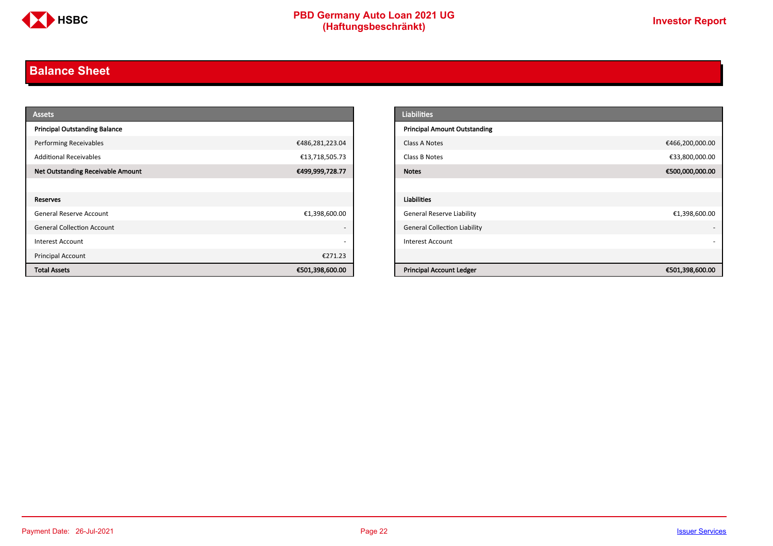

## <span id="page-21-0"></span>**Balance Sheet**

| <b>Assets</b>                            |                          | <b>Liabilities</b>                                 |
|------------------------------------------|--------------------------|----------------------------------------------------|
| <b>Principal Outstanding Balance</b>     |                          | <b>Principal Amount Outstanding</b>                |
| <b>Performing Receivables</b>            | €486,281,223.04          | €466,200,000.00<br>Class A Notes                   |
| <b>Additional Receivables</b>            | €13,718,505.73           | €33,800,000.00<br>Class B Notes                    |
| <b>Net Outstanding Receivable Amount</b> | €499,999,728.77          | €500,000,000.00<br><b>Notes</b>                    |
|                                          |                          |                                                    |
| Reserves                                 |                          | Liabilities                                        |
| <b>General Reserve Account</b>           | €1,398,600.00            | <b>General Reserve Liability</b><br>€1,398,600.00  |
| <b>General Collection Account</b>        | $\overline{\phantom{a}}$ | <b>General Collection Liability</b>                |
| <b>Interest Account</b>                  | $\overline{\phantom{a}}$ | Interest Account                                   |
| Principal Account                        | €271.23                  |                                                    |
| <b>Total Assets</b>                      | €501,398,600.00          | <b>Principal Account Ledger</b><br>€501,398,600.00 |

| <b>Liabilities</b>                  |                 |
|-------------------------------------|-----------------|
| <b>Principal Amount Outstanding</b> |                 |
| Class A Notes                       | €466,200,000.00 |
| Class B Notes                       | €33,800,000.00  |
| <b>Notes</b>                        | €500,000,000.00 |
|                                     |                 |
| <b>Liabilities</b>                  |                 |
| <b>General Reserve Liability</b>    | €1,398,600.00   |
| <b>General Collection Liability</b> | ٠               |
| <b>Interest Account</b>             |                 |
|                                     |                 |
| <b>Principal Account Ledger</b>     | €501,398,600.00 |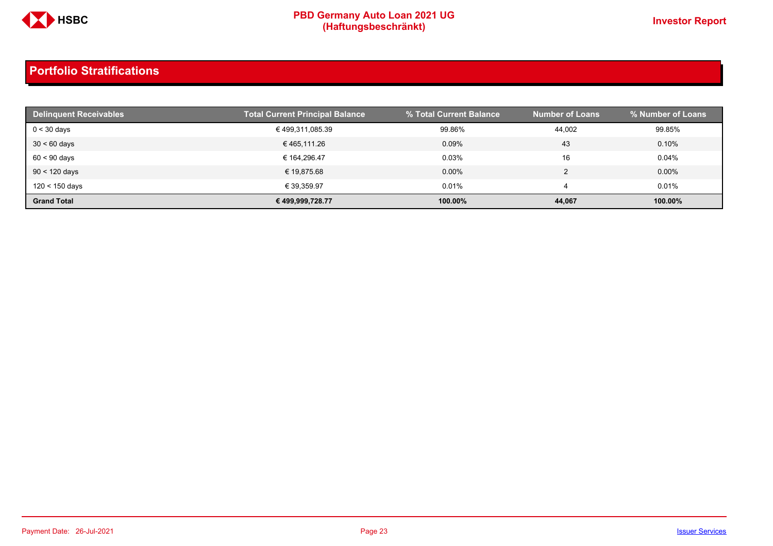

| <b>Delinguent Receivables</b> | <b>Total Current Principal Balance</b> | % Total Current Balance | <b>Number of Loans</b> | % Number of Loans |
|-------------------------------|----------------------------------------|-------------------------|------------------------|-------------------|
| $0 < 30$ days                 | € 499,311,085.39                       | 99.86%                  | 44,002                 | 99.85%            |
| $30 < 60$ days                | € 465.111.26                           | 0.09%                   | 43                     | 0.10%             |
| $60 < 90$ days                | € 164.296.47                           | 0.03%                   | 16                     | 0.04%             |
| $90 < 120$ days               | € 19.875.68                            | $0.00\%$                |                        | $0.00\%$          |
| 120 < 150 days                | € 39,359.97                            | 0.01%                   |                        | 0.01%             |
| <b>Grand Total</b>            | € 499,999,728.77                       | 100.00%                 | 44,067                 | 100.00%           |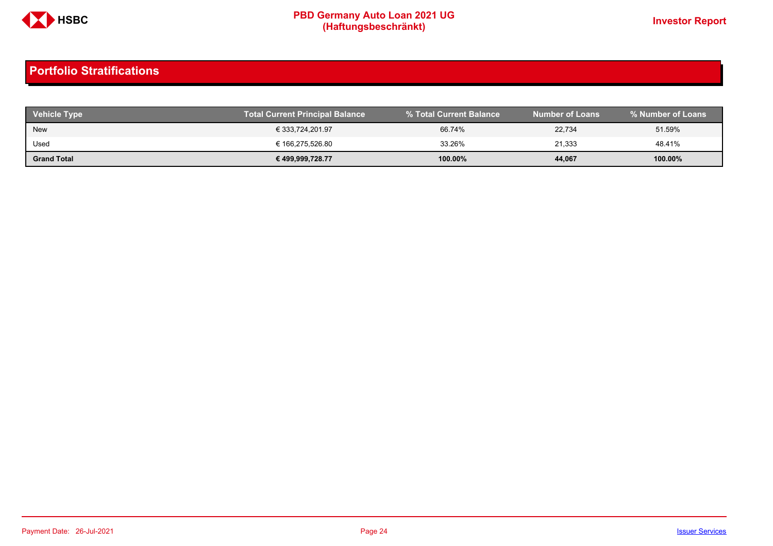

| <b>Vehicle Type</b> | <b>Total Current Principal Balance</b> |         | <b>Number of Loans</b> | % Number of Loans |
|---------------------|----------------------------------------|---------|------------------------|-------------------|
| New                 | € 333,724,201.97                       | 66.74%  | 22,734                 | 51.59%            |
| Used                | € 166,275,526.80                       | 33.26%  | 21,333                 | 48.41%            |
| <b>Grand Total</b>  | € 499,999,728.77                       | 100.00% | 44,067                 | 100.00%           |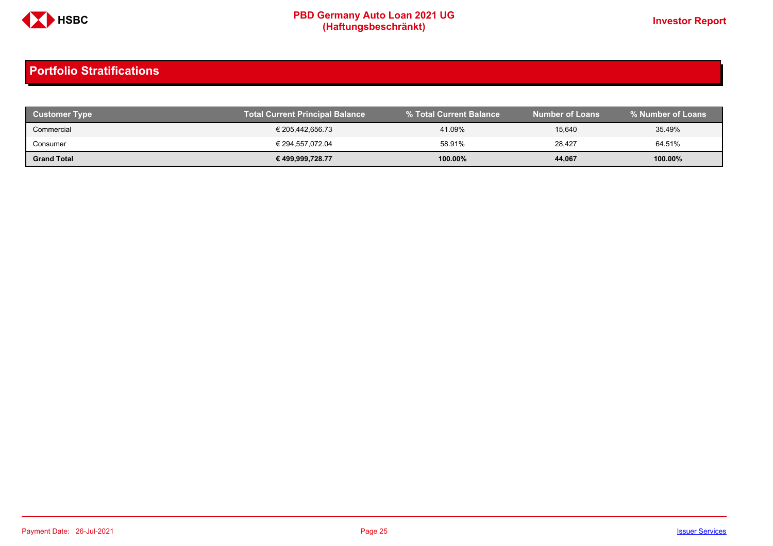

| <b>Customer Type</b> | <b>Total Current Principal Balance</b> | I % Total Current Balance <b>\</b> | <b>Number of Loans</b> | % Number of Loans |
|----------------------|----------------------------------------|------------------------------------|------------------------|-------------------|
| Commercial           | € 205,442,656.73                       | 41.09%                             | 15,640                 | 35.49%            |
| Consumer             | € 294.557.072.04                       | 58.91%                             | 28,427                 | 64.51%            |
| <b>Grand Total</b>   | € 499,999,728.77                       | 100.00%                            | 44,067                 | 100.00%           |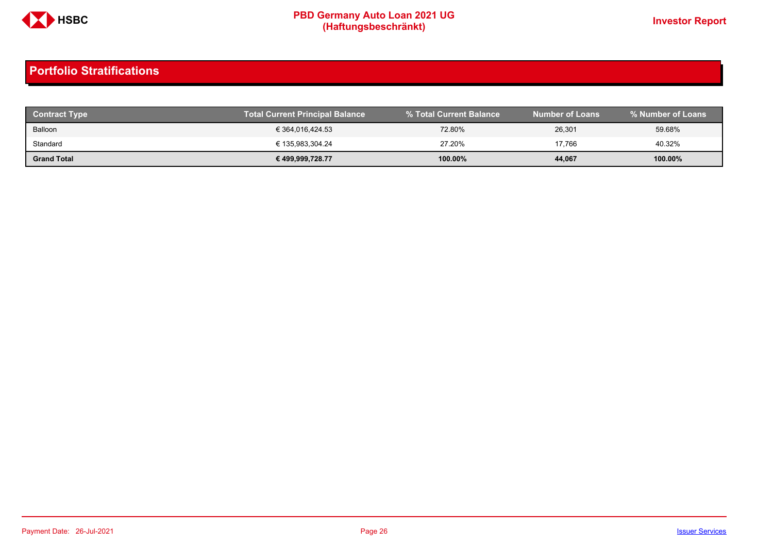

| <b>Contract Type</b> | <b>Total Current Principal Balance</b> |            | <b>Number of Loans</b> | % Number of Loans |
|----------------------|----------------------------------------|------------|------------------------|-------------------|
| Balloon              | € 364,016,424.53                       | 72.80%     | 26,301                 | 59.68%            |
| Standard             | € 135.983.304.24                       | 27.20%     | 17.766                 | 40.32%            |
| <b>Grand Total</b>   | € 499,999,728.77                       | $100.00\%$ | 44,067                 | 100.00%           |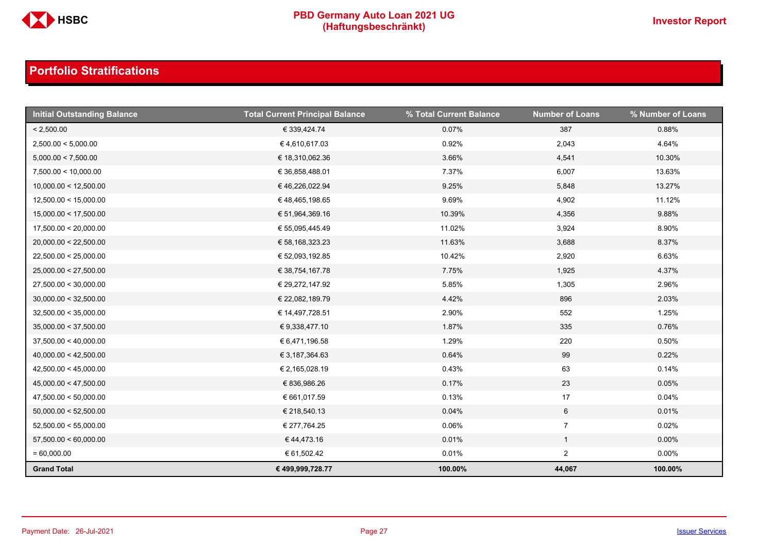

| <b>Initial Outstanding Balance</b> | <b>Total Current Principal Balance</b> | % Total Current Balance | <b>Number of Loans</b> | % Number of Loans |
|------------------------------------|----------------------------------------|-------------------------|------------------------|-------------------|
| < 2,500.00                         | € 339,424.74                           | 0.07%                   | 387                    | 0.88%             |
| 2,500.00 < 5,000.00                | €4,610,617.03                          | 0.92%                   | 2,043                  | 4.64%             |
| 5,000.00 < 7,500.00                | € 18,310,062.36                        | 3.66%                   | 4,541                  | 10.30%            |
| 7,500.00 < 10,000.00               | € 36,858,488.01                        | 7.37%                   | 6,007                  | 13.63%            |
| 10,000.00 < 12,500.00              | €46,226,022.94                         | 9.25%                   | 5,848                  | 13.27%            |
| 12,500.00 < 15,000.00              | € 48,465,198.65                        | 9.69%                   | 4,902                  | 11.12%            |
| 15,000.00 < 17,500.00              | € 51,964,369.16                        | 10.39%                  | 4,356                  | 9.88%             |
| 17,500.00 < 20,000.00              | € 55,095,445.49                        | 11.02%                  | 3,924                  | 8.90%             |
| 20,000.00 < 22,500.00              | € 58,168,323.23                        | 11.63%                  | 3,688                  | 8.37%             |
| 22,500.00 < 25,000.00              | € 52,093,192.85                        | 10.42%                  | 2,920                  | 6.63%             |
| 25,000.00 < 27,500.00              | € 38,754,167.78                        | 7.75%                   | 1,925                  | 4.37%             |
| 27,500.00 < 30,000.00              | € 29,272,147.92                        | 5.85%                   | 1,305                  | 2.96%             |
| 30,000.00 < 32,500.00              | € 22,082,189.79                        | 4.42%                   | 896                    | 2.03%             |
| 32,500.00 < 35,000.00              | € 14,497,728.51                        | 2.90%                   | 552                    | 1.25%             |
| 35,000.00 < 37,500.00              | € 9,338,477.10                         | 1.87%                   | 335                    | 0.76%             |
| 37,500.00 < 40,000.00              | € 6,471,196.58                         | 1.29%                   | 220                    | 0.50%             |
| 40,000.00 < 42,500.00              | € 3,187,364.63                         | 0.64%                   | 99                     | 0.22%             |
| 42,500.00 < 45,000.00              | € 2,165,028.19                         | 0.43%                   | 63                     | 0.14%             |
| 45,000.00 < 47,500.00              | € 836,986.26                           | 0.17%                   | 23                     | 0.05%             |
| 47,500.00 < 50,000.00              | € 661,017.59                           | 0.13%                   | 17                     | 0.04%             |
| 50,000.00 < 52,500.00              | € 218,540.13                           | 0.04%                   | 6                      | 0.01%             |
| 52,500.00 < 55,000.00              | € 277,764.25                           | 0.06%                   | $\overline{7}$         | 0.02%             |
| 57,500.00 < 60,000.00              | €44,473.16                             | 0.01%                   | $\mathbf{1}$           | $0.00\%$          |
| $= 60,000.00$                      | € 61,502.42                            | 0.01%                   | $\overline{2}$         | $0.00\%$          |
| <b>Grand Total</b>                 | € 499,999,728.77                       | 100.00%                 | 44,067                 | 100.00%           |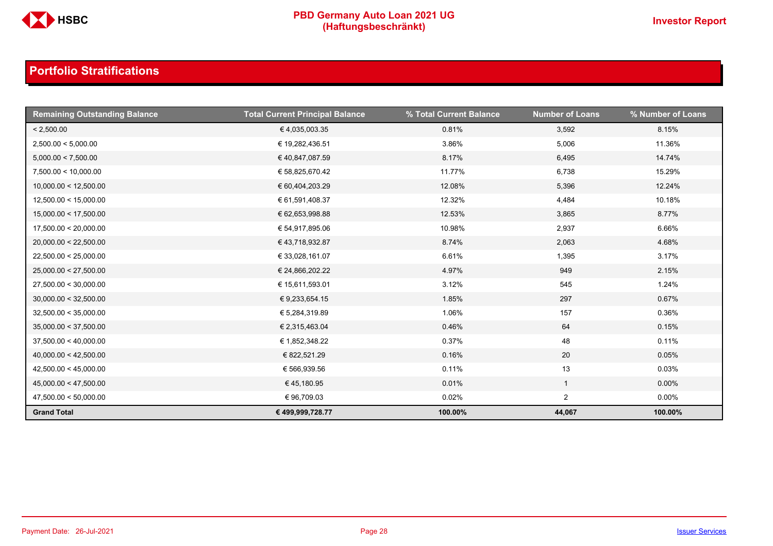

| <b>Remaining Outstanding Balance</b> | <b>Total Current Principal Balance</b> | % Total Current Balance | <b>Number of Loans</b> | % Number of Loans |
|--------------------------------------|----------------------------------------|-------------------------|------------------------|-------------------|
| < 2,500.00                           | €4,035,003.35                          | 0.81%                   | 3,592                  | 8.15%             |
| 2,500.00 < 5,000.00                  | € 19,282,436.51                        | 3.86%                   | 5,006                  | 11.36%            |
| 5,000.00 < 7,500.00                  | € 40,847,087.59                        | 8.17%                   | 6,495                  | 14.74%            |
| 7,500.00 < 10,000.00                 | € 58,825,670.42                        | 11.77%                  | 6,738                  | 15.29%            |
| 10,000.00 < 12,500.00                | € 60,404,203.29                        | 12.08%                  | 5,396                  | 12.24%            |
| 12,500.00 < 15,000.00                | € 61,591,408.37                        | 12.32%                  | 4,484                  | 10.18%            |
| 15,000.00 < 17,500.00                | € 62,653,998.88                        | 12.53%                  | 3,865                  | 8.77%             |
| 17,500.00 < 20,000.00                | € 54,917,895.06                        | 10.98%                  | 2,937                  | 6.66%             |
| 20,000.00 < 22,500.00                | € 43,718,932.87                        | 8.74%                   | 2,063                  | 4.68%             |
| 22,500.00 < 25,000.00                | € 33,028,161.07                        | 6.61%                   | 1,395                  | 3.17%             |
| 25,000.00 < 27,500.00                | € 24,866,202.22                        | 4.97%                   | 949                    | 2.15%             |
| 27,500.00 < 30,000.00                | € 15,611,593.01                        | 3.12%                   | 545                    | 1.24%             |
| 30,000.00 < 32,500.00                | € 9,233,654.15                         | 1.85%                   | 297                    | 0.67%             |
| 32,500.00 < 35,000.00                | € 5,284,319.89                         | 1.06%                   | 157                    | 0.36%             |
| 35,000.00 < 37,500.00                | € 2,315,463.04                         | 0.46%                   | 64                     | 0.15%             |
| 37,500.00 < 40,000.00                | € 1,852,348.22                         | 0.37%                   | 48                     | 0.11%             |
| 40,000.00 < 42,500.00                | € 822,521.29                           | 0.16%                   | 20                     | 0.05%             |
| 42,500.00 < 45,000.00                | € 566,939.56                           | 0.11%                   | 13                     | 0.03%             |
| 45,000.00 < 47,500.00                | €45,180.95                             | 0.01%                   | $\mathbf{1}$           | $0.00\%$          |
| 47,500.00 < 50,000.00                | €96,709.03                             | 0.02%                   | $\overline{a}$         | $0.00\%$          |
| <b>Grand Total</b>                   | € 499,999,728.77                       | 100.00%                 | 44,067                 | 100.00%           |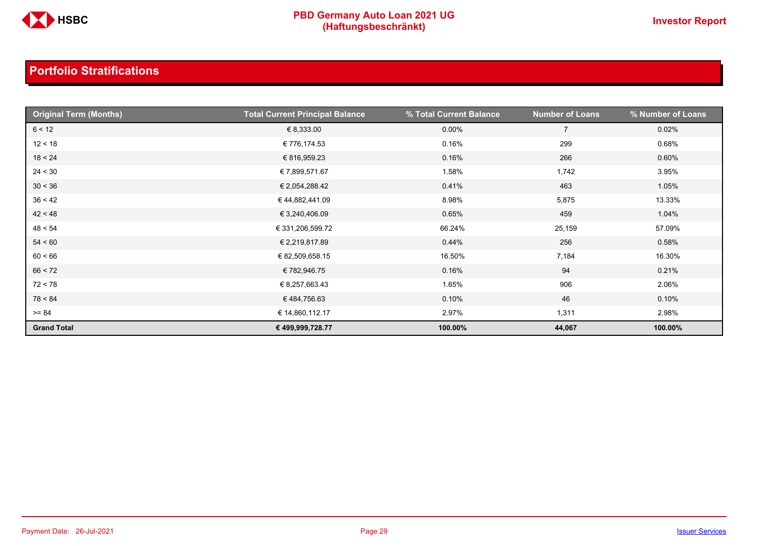

| <b>Original Term (Months)</b> | <b>Total Current Principal Balance</b> | % Total Current Balance | <b>Number of Loans</b> | % Number of Loans |
|-------------------------------|----------------------------------------|-------------------------|------------------------|-------------------|
| 6 < 12                        | € 8,333.00                             | $0.00\%$                | $\overline{7}$         | 0.02%             |
| 12 < 18                       | € 776,174.53                           | 0.16%                   | 299                    | 0.68%             |
| 18 < 24                       | € 816,959.23                           | 0.16%                   | 266                    | 0.60%             |
| 24 < 30                       | € 7,899,571.67                         | 1.58%                   | 1,742                  | 3.95%             |
| 30 < 36                       | € 2,054,288.42                         | 0.41%                   | 463                    | 1.05%             |
| 36 < 42                       | €44,882,441.09                         | 8.98%                   | 5,875                  | 13.33%            |
| 42 < 48                       | € 3,240,406.09                         | 0.65%                   | 459                    | 1.04%             |
| 48 < 54                       | € 331,206,599.72                       | 66.24%                  | 25,159                 | 57.09%            |
| 54 < 60                       | € 2,219,817.89                         | 0.44%                   | 256                    | 0.58%             |
| 60 < 66                       | € 82,509,658.15                        | 16.50%                  | 7,184                  | 16.30%            |
| 66 < 72                       | € 782,946.75                           | 0.16%                   | 94                     | 0.21%             |
| 72 < 78                       | € 8,257,663.43                         | 1.65%                   | 906                    | 2.06%             |
| 78 < 84                       | €484,756.63                            | 0.10%                   | 46                     | 0.10%             |
| $>= 84$                       | € 14,860,112.17                        | 2.97%                   | 1,311                  | 2.98%             |
| <b>Grand Total</b>            | € 499,999,728.77                       | 100.00%                 | 44,067                 | 100.00%           |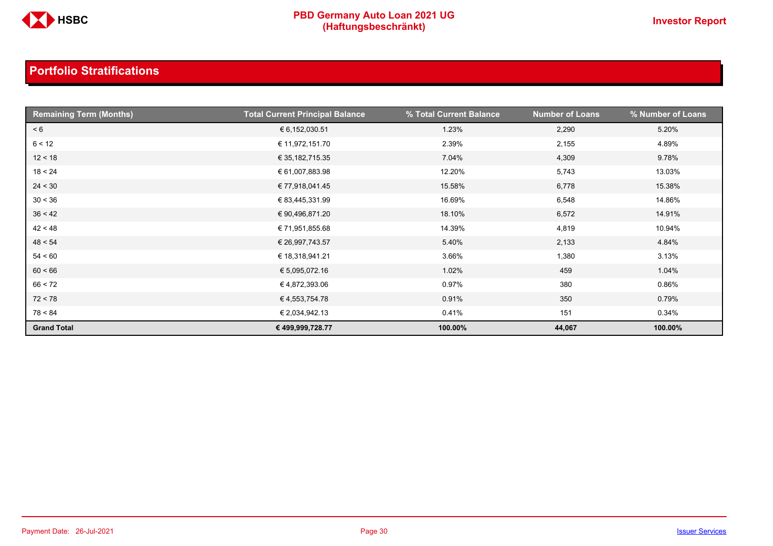

| <b>Remaining Term (Months)</b> | <b>Total Current Principal Balance</b> | % Total Current Balance | <b>Number of Loans</b> | % Number of Loans |
|--------------------------------|----------------------------------------|-------------------------|------------------------|-------------------|
| < 6                            | € 6,152,030.51                         | 1.23%                   | 2,290                  | 5.20%             |
| 6 < 12                         | € 11,972,151.70                        | 2.39%                   | 2,155                  | 4.89%             |
| 12 < 18                        | € 35,182,715.35                        | 7.04%                   | 4,309                  | 9.78%             |
| 18 < 24                        | € 61,007,883.98                        | 12.20%                  | 5,743                  | 13.03%            |
| 24 < 30                        | € 77,918,041.45                        | 15.58%                  | 6,778                  | 15.38%            |
| 30 < 36                        | € 83,445,331.99                        | 16.69%                  | 6,548                  | 14.86%            |
| 36 < 42                        | € 90,496,871.20                        | 18.10%                  | 6,572                  | 14.91%            |
| 42 < 48                        | € 71,951,855.68                        | 14.39%                  | 4,819                  | 10.94%            |
| 48 < 54                        | € 26,997,743.57                        | 5.40%                   | 2,133                  | 4.84%             |
| 54 < 60                        | € 18,318,941.21                        | 3.66%                   | 1,380                  | 3.13%             |
| 60 < 66                        | € 5,095,072.16                         | 1.02%                   | 459                    | 1.04%             |
| 66 < 72                        | €4,872,393.06                          | 0.97%                   | 380                    | 0.86%             |
| 72 < 78                        | € 4,553,754.78                         | 0.91%                   | 350                    | 0.79%             |
| 78 < 84                        | € 2,034,942.13                         | 0.41%                   | 151                    | 0.34%             |
| <b>Grand Total</b>             | € 499,999,728.77                       | 100.00%                 | 44,067                 | 100.00%           |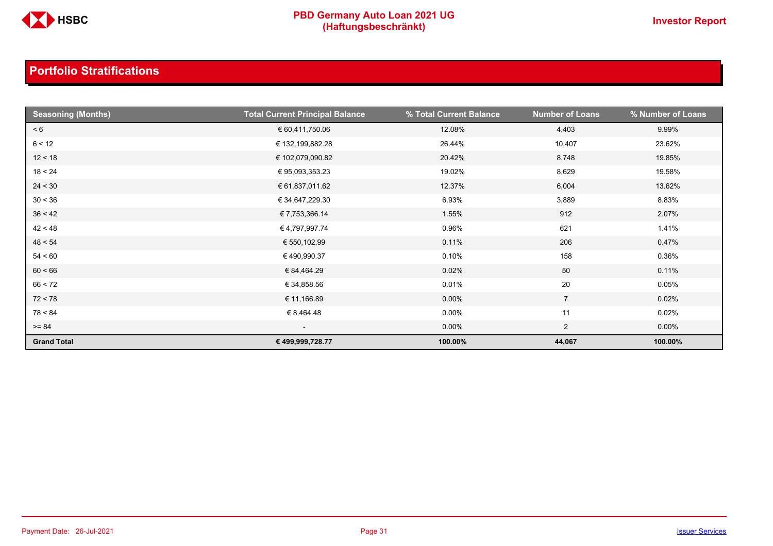

| <b>Seasoning (Months)</b> | <b>Total Current Principal Balance</b> | % Total Current Balance | <b>Number of Loans</b> | % Number of Loans |
|---------------------------|----------------------------------------|-------------------------|------------------------|-------------------|
| < 6                       | € 60,411,750.06                        | 12.08%                  | 4,403                  | 9.99%             |
| 6 < 12                    | € 132,199,882.28                       | 26.44%                  | 10,407                 | 23.62%            |
| 12 < 18                   | € 102,079,090.82                       | 20.42%                  | 8,748                  | 19.85%            |
| 18 < 24                   | € 95,093,353.23                        | 19.02%                  | 8,629                  | 19.58%            |
| 24 < 30                   | € 61,837,011.62                        | 12.37%                  | 6,004                  | 13.62%            |
| 30 < 36                   | € 34,647,229.30                        | 6.93%                   | 3,889                  | 8.83%             |
| 36 < 42                   | € 7,753,366.14                         | 1.55%                   | 912                    | 2.07%             |
| 42 < 48                   | €4,797,997.74                          | 0.96%                   | 621                    | 1.41%             |
| 48 < 54                   | € 550,102.99                           | 0.11%                   | 206                    | 0.47%             |
| 54 < 60                   | €490,990.37                            | 0.10%                   | 158                    | 0.36%             |
| 60 < 66                   | € 84,464.29                            | 0.02%                   | 50                     | 0.11%             |
| 66 < 72                   | € 34,858.56                            | 0.01%                   | 20                     | 0.05%             |
| 72 < 78                   | € 11,166.89                            | $0.00\%$                | $\overline{7}$         | 0.02%             |
| 78 < 84                   | € 8,464.48                             | $0.00\%$                | 11                     | 0.02%             |
| $>= 84$                   | $\overline{\phantom{a}}$               | 0.00%                   | $\overline{2}$         | $0.00\%$          |
| <b>Grand Total</b>        | € 499,999,728.77                       | 100.00%                 | 44,067                 | 100.00%           |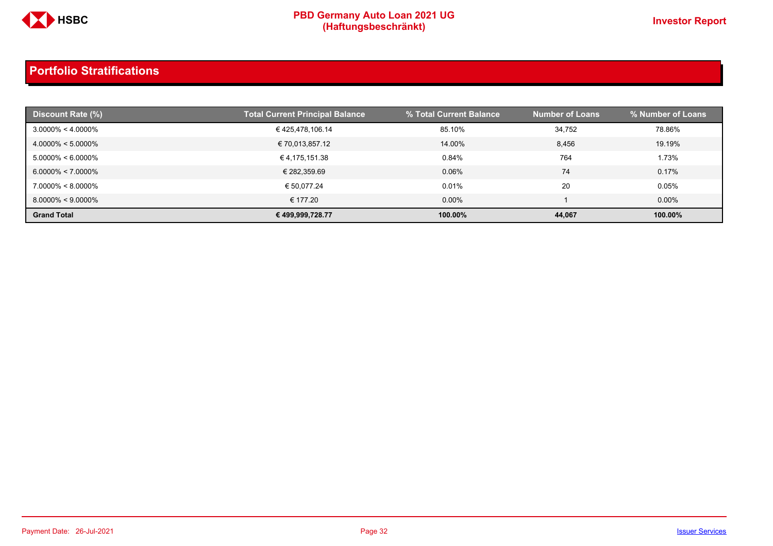

| <b>Discount Rate (%)</b> | <b>Total Current Principal Balance</b> | % Total Current Balance | <b>Number of Loans</b> | % Number of Loans |
|--------------------------|----------------------------------------|-------------------------|------------------------|-------------------|
| $3.0000\% < 4.0000\%$    | €425,478,106.14                        | 85.10%                  | 34,752                 | 78.86%            |
| $4.0000\% < 5.0000\%$    | € 70,013,857.12                        | 14.00%                  | 8,456                  | 19.19%            |
| $5.0000\% < 6.0000\%$    | € 4,175,151.38                         | 0.84%                   | 764                    | 1.73%             |
| $6.0000\% < 7.0000\%$    | € 282,359.69                           | 0.06%                   | 74                     | 0.17%             |
| $7.0000\% < 8.0000\%$    | € 50.077.24                            | 0.01%                   | 20                     | 0.05%             |
| $8.0000\% < 9.0000\%$    | € 177.20                               | $0.00\%$                |                        | $0.00\%$          |
| <b>Grand Total</b>       | € 499,999,728.77                       | 100.00%                 | 44,067                 | 100.00%           |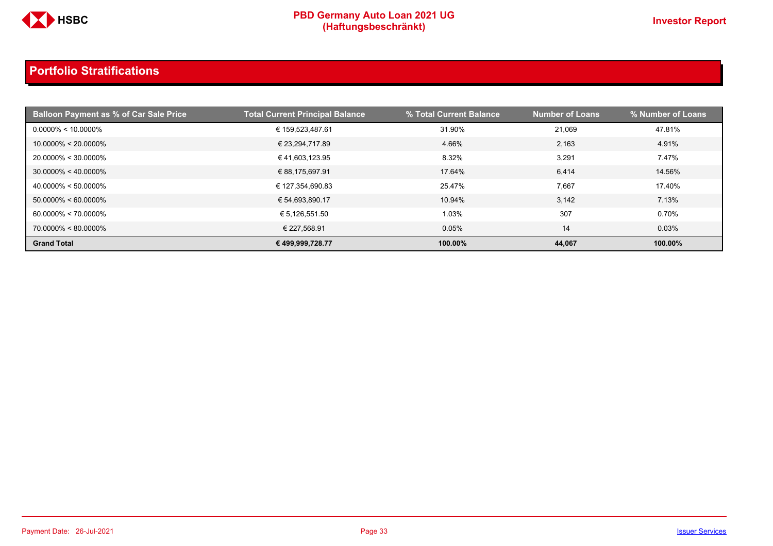

| <b>Balloon Payment as % of Car Sale Price</b> | <b>Total Current Principal Balance</b> | % Total Current Balance | <b>Number of Loans</b> | % Number of Loans |
|-----------------------------------------------|----------------------------------------|-------------------------|------------------------|-------------------|
| $0.0000\% < 10.0000\%$                        | € 159,523,487.61                       | 31.90%                  | 21,069                 | 47.81%            |
| $10.0000\% < 20.0000\%$                       | € 23,294,717.89                        | 4.66%                   | 2,163                  | 4.91%             |
| 20.0000% < 30.0000%                           | € 41,603,123.95                        | 8.32%                   | 3,291                  | 7.47%             |
| $30.0000\% < 40.0000\%$                       | € 88,175,697.91                        | 17.64%                  | 6,414                  | 14.56%            |
| $40.0000\% < 50.0000\%$                       | € 127,354,690.83                       | 25.47%                  | 7,667                  | 17.40%            |
| $50.0000\% < 60.0000\%$                       | € 54,693,890.17                        | 10.94%                  | 3,142                  | 7.13%             |
| $60.0000\% < 70.0000\%$                       | € 5,126,551.50                         | 1.03%                   | 307                    | 0.70%             |
| 70.0000% < 80.0000%                           | € 227.568.91                           | 0.05%                   | 14                     | 0.03%             |
| <b>Grand Total</b>                            | € 499,999,728.77                       | 100.00%                 | 44,067                 | 100.00%           |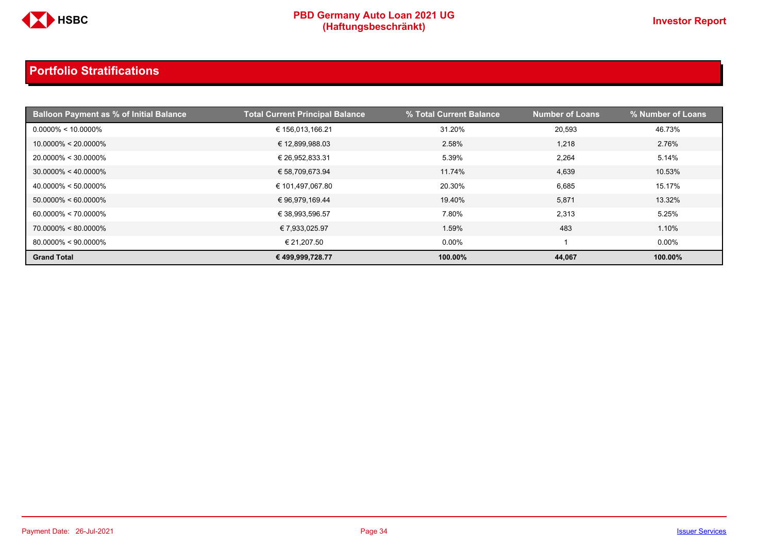

| <b>Balloon Payment as % of Initial Balance</b> | <b>Total Current Principal Balance</b> | % Total Current Balance | <b>Number of Loans</b> | % Number of Loans |
|------------------------------------------------|----------------------------------------|-------------------------|------------------------|-------------------|
| $0.0000\% < 10.0000\%$                         | € 156,013,166.21                       | 31.20%                  | 20,593                 | 46.73%            |
| $10.0000\% < 20.0000\%$                        | € 12,899,988.03                        | 2.58%                   | 1,218                  | 2.76%             |
| 20.0000% < 30.0000%                            | € 26,952,833.31                        | 5.39%                   | 2,264                  | 5.14%             |
| $30.0000\% < 40.0000\%$                        | € 58,709,673.94                        | 11.74%                  | 4,639                  | 10.53%            |
| $40.0000\% < 50.0000\%$                        | € 101,497,067.80                       | 20.30%                  | 6,685                  | 15.17%            |
| $50.0000\% < 60.0000\%$                        | € 96,979,169.44                        | 19.40%                  | 5,871                  | 13.32%            |
| $60.0000\% < 70.0000\%$                        | € 38,993,596.57                        | 7.80%                   | 2,313                  | 5.25%             |
| 70.0000% < 80.0000%                            | € 7,933,025.97                         | 1.59%                   | 483                    | 1.10%             |
| $80.0000\% < 90.0000\%$                        | € 21.207.50                            | $0.00\%$                |                        | $0.00\%$          |
| <b>Grand Total</b>                             | € 499,999,728.77                       | 100.00%                 | 44,067                 | 100.00%           |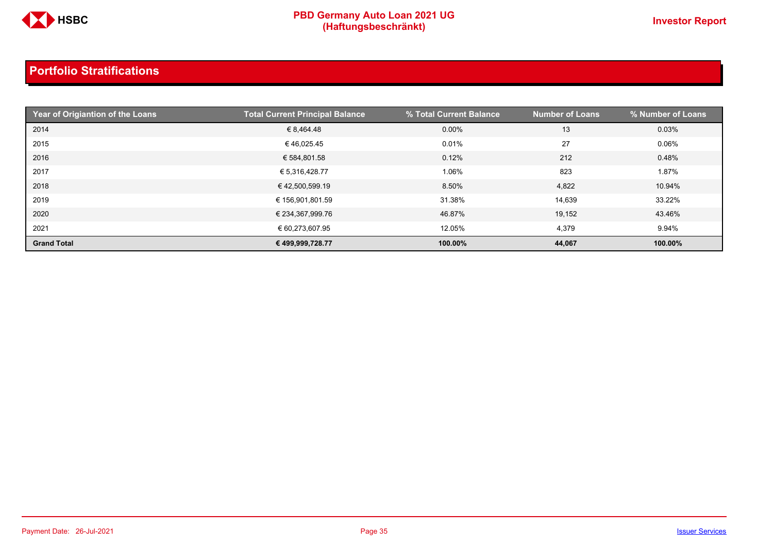

| Year of Origiantion of the Loans | <b>Total Current Principal Balance</b> | % Total Current Balance | <b>Number of Loans</b> | % Number of Loans |
|----------------------------------|----------------------------------------|-------------------------|------------------------|-------------------|
| 2014                             | € 8,464.48                             | $0.00\%$                | 13                     | 0.03%             |
| 2015                             | €46.025.45                             | 0.01%                   | 27                     | 0.06%             |
| 2016                             | € 584,801.58                           | 0.12%                   | 212                    | 0.48%             |
| 2017                             | € 5,316,428.77                         | 1.06%                   | 823                    | 1.87%             |
| 2018                             | €42,500,599.19                         | 8.50%                   | 4,822                  | 10.94%            |
| 2019                             | € 156,901,801.59                       | 31.38%                  | 14,639                 | 33.22%            |
| 2020                             | € 234,367,999.76                       | 46.87%                  | 19,152                 | 43.46%            |
| 2021                             | € 60,273,607.95                        | 12.05%                  | 4,379                  | 9.94%             |
| <b>Grand Total</b>               | € 499,999,728.77                       | 100.00%                 | 44,067                 | 100.00%           |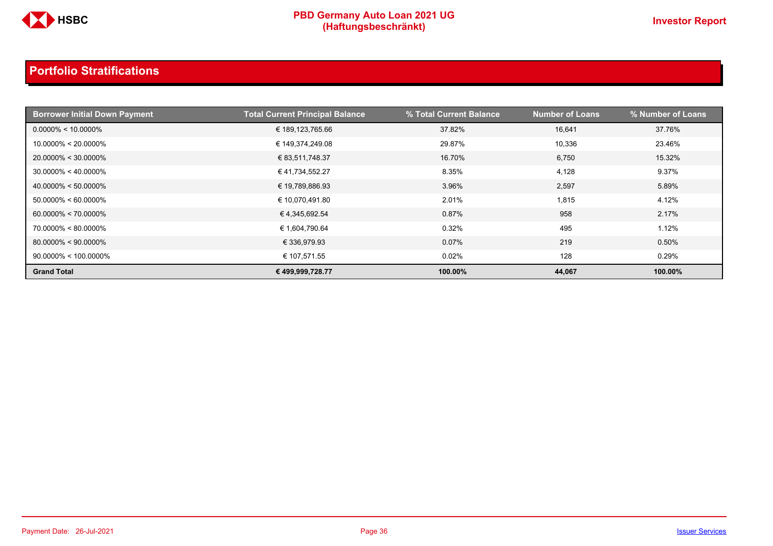

| <b>Borrower Initial Down Payment</b> | <b>Total Current Principal Balance</b> | % Total Current Balance | <b>Number of Loans</b> | % Number of Loans |
|--------------------------------------|----------------------------------------|-------------------------|------------------------|-------------------|
| $0.0000\% < 10.0000\%$               | € 189,123,765.66                       | 37.82%                  | 16,641                 | 37.76%            |
| $10.0000\% < 20.0000\%$              | € 149,374,249.08                       | 29.87%                  | 10,336                 | 23.46%            |
| $20.0000\% < 30.0000\%$              | € 83,511,748.37                        | 16.70%                  | 6,750                  | 15.32%            |
| $30.0000\% < 40.0000\%$              | €41,734,552.27                         | 8.35%                   | 4,128                  | 9.37%             |
| $40.0000\% < 50.0000\%$              | € 19,789,886.93                        | 3.96%                   | 2,597                  | 5.89%             |
| $50.0000\% < 60.0000\%$              | € 10,070,491.80                        | 2.01%                   | 1,815                  | 4.12%             |
| $60.0000\% < 70.0000\%$              | € 4,345,692.54                         | 0.87%                   | 958                    | 2.17%             |
| $70.0000\% < 80.0000\%$              | € 1,604,790.64                         | 0.32%                   | 495                    | 1.12%             |
| $80.0000\% < 90.0000\%$              | € 336,979.93                           | 0.07%                   | 219                    | 0.50%             |
| $90.0000\% < 100.0000\%$             | € 107,571.55                           | 0.02%                   | 128                    | 0.29%             |
| <b>Grand Total</b>                   | € 499,999,728.77                       | 100.00%                 | 44,067                 | 100.00%           |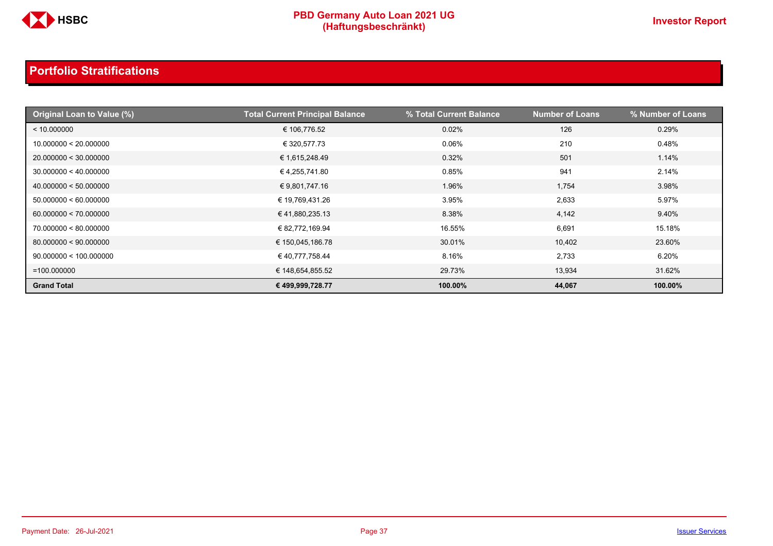

| Original Loan to Value (%) | <b>Total Current Principal Balance</b> | % Total Current Balance | <b>Number of Loans</b> | % Number of Loans |
|----------------------------|----------------------------------------|-------------------------|------------------------|-------------------|
| < 10.000000                | € 106,776.52                           | 0.02%                   | 126                    | 0.29%             |
| 10.000000 < 20.000000      | € 320,577.73                           | 0.06%                   | 210                    | 0.48%             |
| 20.000000 < 30.000000      | € 1,615,248.49                         | 0.32%                   | 501                    | 1.14%             |
| 30.000000 < 40.000000      | € 4,255,741.80                         | 0.85%                   | 941                    | 2.14%             |
| 40.000000 < 50.000000      | € 9,801,747.16                         | 1.96%                   | 1,754                  | 3.98%             |
| 50.000000 < 60.000000      | € 19,769,431.26                        | 3.95%                   | 2,633                  | 5.97%             |
| 60.000000 < 70.000000      | € 41,880,235.13                        | 8.38%                   | 4,142                  | 9.40%             |
| 70.000000 < 80.000000      | € 82,772,169.94                        | 16.55%                  | 6,691                  | 15.18%            |
| 80.000000 < 90.000000      | € 150,045,186.78                       | 30.01%                  | 10,402                 | 23.60%            |
| 90.000000 < 100.000000     | € 40,777,758.44                        | 8.16%                   | 2,733                  | 6.20%             |
| $=100.000000$              | € 148,654,855.52                       | 29.73%                  | 13,934                 | 31.62%            |
| <b>Grand Total</b>         | € 499,999,728.77                       | 100.00%                 | 44,067                 | 100.00%           |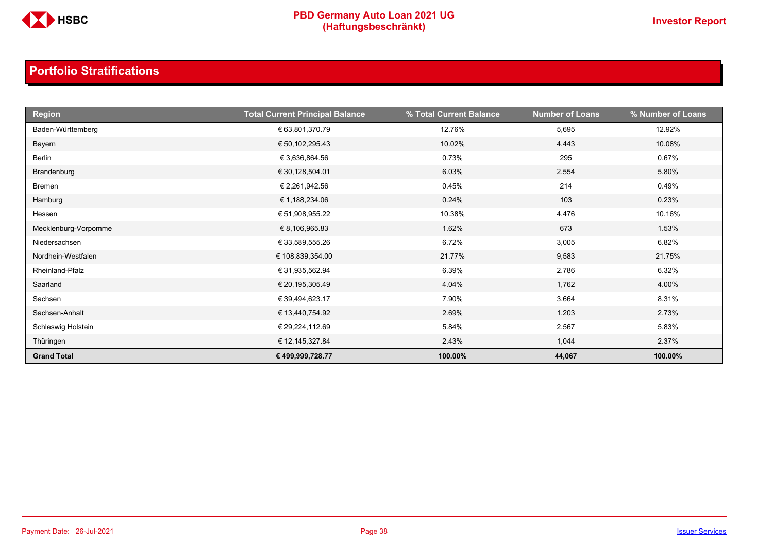

| <b>Region</b>        | <b>Total Current Principal Balance</b> | % Total Current Balance | <b>Number of Loans</b> | % Number of Loans |
|----------------------|----------------------------------------|-------------------------|------------------------|-------------------|
| Baden-Württemberg    | € 63,801,370.79                        | 12.76%                  | 5,695                  | 12.92%            |
| Bayern               | € 50,102,295.43                        | 10.02%                  | 4,443                  | 10.08%            |
| Berlin               | € 3,636,864.56                         | 0.73%                   | 295                    | 0.67%             |
| Brandenburg          | € 30,128,504.01                        | 6.03%                   | 2,554                  | 5.80%             |
| Bremen               | € 2,261,942.56                         | 0.45%                   | 214                    | 0.49%             |
| Hamburg              | € 1,188,234.06                         | 0.24%                   | 103                    | 0.23%             |
| Hessen               | € 51,908,955.22                        | 10.38%                  | 4,476                  | 10.16%            |
| Mecklenburg-Vorpomme | € 8,106,965.83                         | 1.62%                   | 673                    | 1.53%             |
| Niedersachsen        | € 33,589,555.26                        | 6.72%                   | 3,005                  | 6.82%             |
| Nordhein-Westfalen   | € 108,839,354.00                       | 21.77%                  | 9,583                  | 21.75%            |
| Rheinland-Pfalz      | € 31,935,562.94                        | 6.39%                   | 2,786                  | 6.32%             |
| Saarland             | € 20,195,305.49                        | 4.04%                   | 1,762                  | 4.00%             |
| Sachsen              | € 39,494,623.17                        | 7.90%                   | 3,664                  | 8.31%             |
| Sachsen-Anhalt       | € 13,440,754.92                        | 2.69%                   | 1,203                  | 2.73%             |
| Schleswig Holstein   | € 29,224,112.69                        | 5.84%                   | 2,567                  | 5.83%             |
| Thüringen            | € 12,145,327.84                        | 2.43%                   | 1,044                  | 2.37%             |
| <b>Grand Total</b>   | € 499,999,728.77                       | 100.00%                 | 44,067                 | 100.00%           |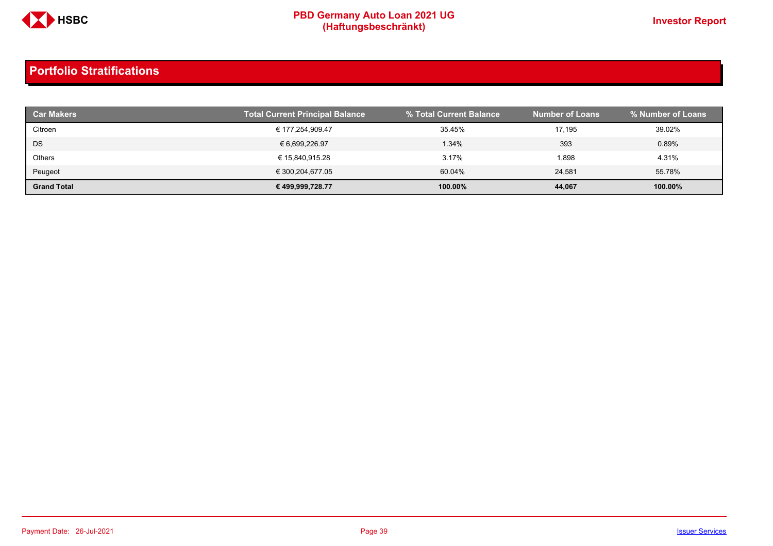

| <b>Car Makers</b>  | <b>Total Current Principal Balance</b> | % Total Current Balance | <b>Number of Loans</b> | % Number of Loans |
|--------------------|----------------------------------------|-------------------------|------------------------|-------------------|
| Citroen            | € 177,254,909.47                       | 35.45%                  | 17.195                 | 39.02%            |
| DS                 | € 6,699,226.97                         | 1.34%                   | 393                    | 0.89%             |
| Others             | € 15,840,915.28                        | 3.17%                   | 1,898                  | 4.31%             |
| Peugeot            | € 300,204,677.05                       | 60.04%                  | 24.581                 | 55.78%            |
| <b>Grand Total</b> | € 499,999,728.77                       | 100.00%                 | 44,067                 | 100.00%           |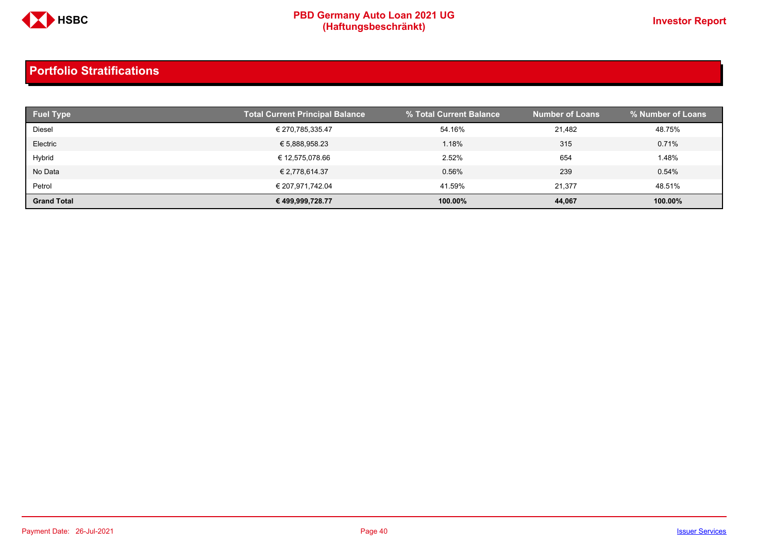

| <b>Fuel Type</b>   | <b>Total Current Principal Balance</b> | % Total Current Balance | <b>Number of Loans</b> | % Number of Loans |
|--------------------|----------------------------------------|-------------------------|------------------------|-------------------|
| Diesel             | € 270,785,335.47                       | 54.16%                  | 21.482                 | 48.75%            |
| Electric           | € 5,888,958.23                         | 1.18%                   | 315                    | 0.71%             |
| Hybrid             | € 12,575,078.66                        | 2.52%                   | 654                    | 1.48%             |
| No Data            | € 2,778,614.37                         | 0.56%                   | 239                    | 0.54%             |
| Petrol             | € 207,971,742.04                       | 41.59%                  | 21.377                 | 48.51%            |
| <b>Grand Total</b> | € 499,999,728.77                       | 100.00%                 | 44,067                 | 100.00%           |